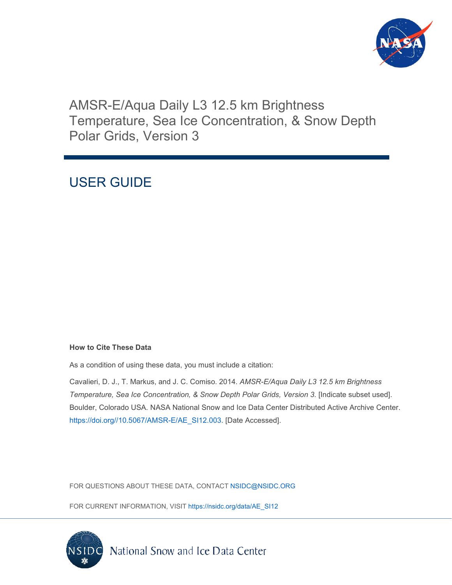

# AMSR-E/Aqua Daily L3 12.5 km Brightness Temperature, Sea Ice Concentration, & Snow Depth Polar Grids, Version 3

# USER GUIDE

### **How to Cite These Data**

As a condition of using these data, you must include a citation:

Cavalieri, D. J., T. Markus, and J. C. Comiso. 2014. *AMSR-E/Aqua Daily L3 12.5 km Brightness Temperature, Sea Ice Concentration, & Snow Depth Polar Grids, Version 3*. [Indicate subset used]. Boulder, Colorado USA. NASA National Snow and Ice Data Center Distributed Active Archive Center. [https://doi.org//10.5067/AMSR-E/AE\\_SI12.003.](https://doi.org/10.5067/AMSR-E/AE_SI12.003) [Date Accessed].

FOR QUESTIONS ABOUT THESE DATA, CONTACT [NSIDC@NSIDC.ORG](mailto:nsidc@nsidc.org)

FOR CURRENT INFORMATION, VISIT [https://nsidc.org/data/AE\\_SI12](https://nsidc.org/data/AE_SI12)

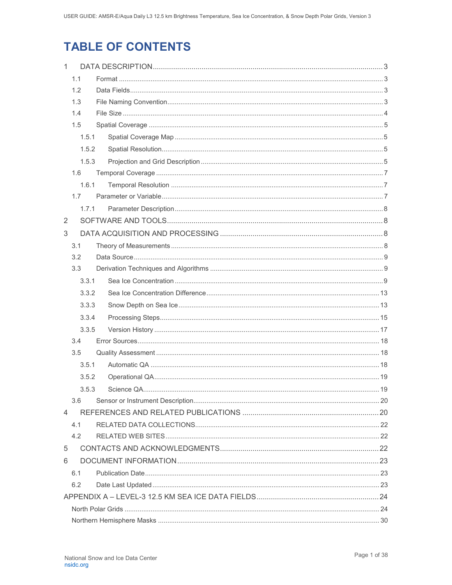# **TABLE OF CONTENTS**

| $\mathbf{1}$ |       |  |  |  |  |
|--------------|-------|--|--|--|--|
|              | 1.1   |  |  |  |  |
|              | 1.2   |  |  |  |  |
|              | 1.3   |  |  |  |  |
|              | 1.4   |  |  |  |  |
|              | 1.5   |  |  |  |  |
|              | 1.5.1 |  |  |  |  |
|              | 1.5.2 |  |  |  |  |
|              | 1.5.3 |  |  |  |  |
|              | 1.6   |  |  |  |  |
|              | 1.6.1 |  |  |  |  |
|              | 1.7   |  |  |  |  |
|              | 1.7.1 |  |  |  |  |
| 2            |       |  |  |  |  |
| 3            |       |  |  |  |  |
|              | 3.1   |  |  |  |  |
|              | 3.2   |  |  |  |  |
|              | 3.3   |  |  |  |  |
|              | 3.3.1 |  |  |  |  |
|              | 3.3.2 |  |  |  |  |
|              | 3.3.3 |  |  |  |  |
|              | 3.3.4 |  |  |  |  |
|              | 3.3.5 |  |  |  |  |
|              | 3.4   |  |  |  |  |
|              | 3.5   |  |  |  |  |
|              | 3.5.1 |  |  |  |  |
|              | 3.5.2 |  |  |  |  |
|              | 3.5.3 |  |  |  |  |
|              | 3.6   |  |  |  |  |
| 4            |       |  |  |  |  |
|              | 4.1   |  |  |  |  |
|              | 4.2   |  |  |  |  |
| 5            |       |  |  |  |  |
| 6            |       |  |  |  |  |
|              | 6.1   |  |  |  |  |
|              | 6.2   |  |  |  |  |
|              |       |  |  |  |  |
|              |       |  |  |  |  |
|              |       |  |  |  |  |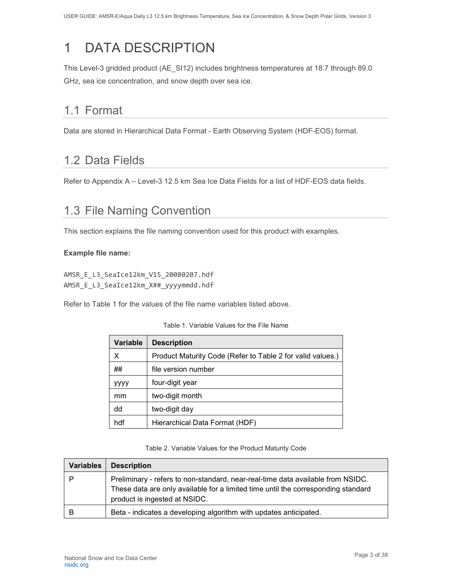# <span id="page-3-0"></span>1 DATA DESCRIPTION

This Level-3 gridded product (AE\_SI12) includes brightness temperatures at 18.7 through 89.0 GHz, sea ice concentration, and snow depth over sea ice.

# <span id="page-3-1"></span>1.1 Format

Data are stored in Hierarchical Data Format - Earth Observing System (HDF-EOS) format.

## <span id="page-3-2"></span>1.2 Data Fields

Refer to Appendix A – Level-3 12.5 km Sea Ice Data Fields for a list of HDF-EOS data fields.

## <span id="page-3-3"></span>1.3 File Naming Convention

This section explains the file naming convention used for this product with examples.

#### **Example file name:**

AMSR\_E\_L3\_SeaIce12km\_V15\_20080207.hdf AMSR\_E\_L3\_SeaIce12km\_X##\_yyyymmdd.hdf

Refer to Table 1 for the values of the file name variables listed above.

| <b>Variable</b> | <b>Description</b>                                         |
|-----------------|------------------------------------------------------------|
| х               | Product Maturity Code (Refer to Table 2 for valid values.) |
| ##              | file version number                                        |
| уууу            | four-digit year                                            |
| mm              | two-digit month                                            |
| dd              | two-digit day                                              |
| hdf             | Hierarchical Data Format (HDF)                             |

#### Table 1. Variable Values for the File Name

Table 2. Variable Values for the Product Maturity Code

| <b>Variables</b> | <b>Description</b>                                                                                                                                                                                    |
|------------------|-------------------------------------------------------------------------------------------------------------------------------------------------------------------------------------------------------|
|                  | Preliminary - refers to non-standard, near-real-time data available from NSIDC.<br>These data are only available for a limited time until the corresponding standard<br>product is ingested at NSIDC. |
| B                | Beta - indicates a developing algorithm with updates anticipated.                                                                                                                                     |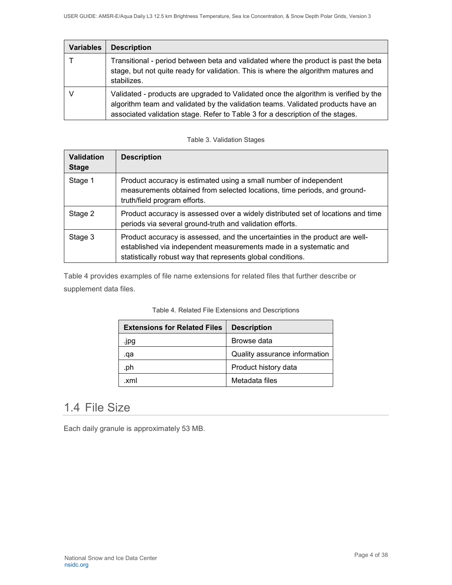| <b>Variables</b> | <b>Description</b>                                                                                                                                                                                                                                         |
|------------------|------------------------------------------------------------------------------------------------------------------------------------------------------------------------------------------------------------------------------------------------------------|
|                  | Transitional - period between beta and validated where the product is past the beta<br>stage, but not quite ready for validation. This is where the algorithm matures and<br>stabilizes.                                                                   |
|                  | Validated - products are upgraded to Validated once the algorithm is verified by the<br>algorithm team and validated by the validation teams. Validated products have an<br>associated validation stage. Refer to Table 3 for a description of the stages. |

#### Table 3. Validation Stages

| <b>Validation</b><br><b>Stage</b> | <b>Description</b>                                                                                                                                                                                               |
|-----------------------------------|------------------------------------------------------------------------------------------------------------------------------------------------------------------------------------------------------------------|
| Stage 1                           | Product accuracy is estimated using a small number of independent<br>measurements obtained from selected locations, time periods, and ground-<br>truth/field program efforts.                                    |
| Stage 2                           | Product accuracy is assessed over a widely distributed set of locations and time<br>periods via several ground-truth and validation efforts.                                                                     |
| Stage 3                           | Product accuracy is assessed, and the uncertainties in the product are well-<br>established via independent measurements made in a systematic and<br>statistically robust way that represents global conditions. |

Table 4 provides examples of file name extensions for related files that further describe or supplement data files.

| <b>Extensions for Related Files</b> | <b>Description</b>            |
|-------------------------------------|-------------------------------|
| .jpg                                | Browse data                   |
| .qa                                 | Quality assurance information |
| .ph                                 | Product history data          |
| xml                                 | Metadata files                |

#### Table 4. Related File Extensions and Descriptions

# <span id="page-4-0"></span>1.4 File Size

Each daily granule is approximately 53 MB.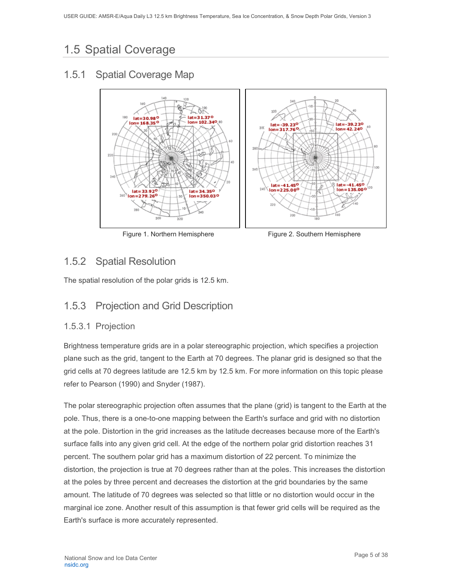# <span id="page-5-0"></span>1.5 Spatial Coverage

### <span id="page-5-1"></span>1.5.1 Spatial Coverage Map



Figure 1. Northern Hemisphere Figure 2. Southern Hemisphere

### <span id="page-5-2"></span>1.5.2 Spatial Resolution

The spatial resolution of the polar grids is 12.5 km.

### <span id="page-5-3"></span>1.5.3 Projection and Grid Description

### 1.5.3.1 Projection

Brightness temperature grids are in a polar stereographic projection, which specifies a projection plane such as the grid, tangent to the Earth at 70 degrees. The planar grid is designed so that the grid cells at 70 degrees latitude are 12.5 km by 12.5 km. For more information on this topic please refer to Pearson (1990) and Snyder (1987).

The polar stereographic projection often assumes that the plane (grid) is tangent to the Earth at the pole. Thus, there is a one-to-one mapping between the Earth's surface and grid with no distortion at the pole. Distortion in the grid increases as the latitude decreases because more of the Earth's surface falls into any given grid cell. At the edge of the northern polar grid distortion reaches 31 percent. The southern polar grid has a maximum distortion of 22 percent. To minimize the distortion, the projection is true at 70 degrees rather than at the poles. This increases the distortion at the poles by three percent and decreases the distortion at the grid boundaries by the same amount. The latitude of 70 degrees was selected so that little or no distortion would occur in the marginal ice zone. Another result of this assumption is that fewer grid cells will be required as the Earth's surface is more accurately represented.

Page 5 of 38 National Snow and Ice Data Center [nsidc.org](https://nsidc.org/)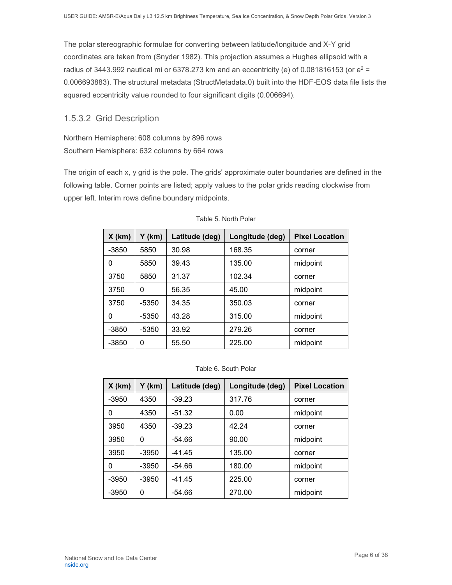The polar stereographic formulae for converting between latitude/longitude and X-Y grid coordinates are taken from (Snyder 1982). This projection assumes a Hughes ellipsoid with a radius of 3443.992 nautical mi or 6378.273 km and an eccentricity (e) of 0.081816153 (or  $e^2$  = 0.006693883). The structural metadata (StructMetadata.0) built into the HDF-EOS data file lists the squared eccentricity value rounded to four significant digits (0.006694).

#### 1.5.3.2 Grid Description

Northern Hemisphere: 608 columns by 896 rows Southern Hemisphere: 632 columns by 664 rows

The origin of each x, y grid is the pole. The grids' approximate outer boundaries are defined in the following table. Corner points are listed; apply values to the polar grids reading clockwise from upper left. Interim rows define boundary midpoints.

| $X$ (km) | Y (km)  | Latitude (deg) | Longitude (deg) | <b>Pixel Location</b> |
|----------|---------|----------------|-----------------|-----------------------|
| $-3850$  | 5850    | 30.98          | 168.35          | corner                |
| 0        | 5850    | 39.43          | 135.00          | midpoint              |
| 3750     | 5850    | 31.37          | 102.34          | corner                |
| 3750     | 0       | 56.35          | 45.00           | midpoint              |
| 3750     | -5350   | 34.35          | 350.03          | corner                |
| 0        | $-5350$ | 43.28          | 315.00          | midpoint              |
| $-3850$  | $-5350$ | 33.92          | 279.26          | corner                |
| $-3850$  | 0       | 55.50          | 225.00          | midpoint              |

#### Table 6. South Polar

| $X$ (km) | Y (km)  | Latitude (deg) | Longitude (deg) | <b>Pixel Location</b> |
|----------|---------|----------------|-----------------|-----------------------|
| -3950    | 4350    | $-39.23$       | 317.76          | corner                |
| 0        | 4350    | $-51.32$       | 0.00            | midpoint              |
| 3950     | 4350    | $-39.23$       | 42.24           | corner                |
| 3950     | 0       | $-54.66$       | 90.00           | midpoint              |
| 3950     | -3950   | $-41.45$       | 135.00          | corner                |
| 0        | $-3950$ | $-54.66$       | 180.00          | midpoint              |
| $-3950$  | $-3950$ | $-41.45$       | 225.00          | corner                |
| $-3950$  | 0       | $-54.66$       | 270.00          | midpoint              |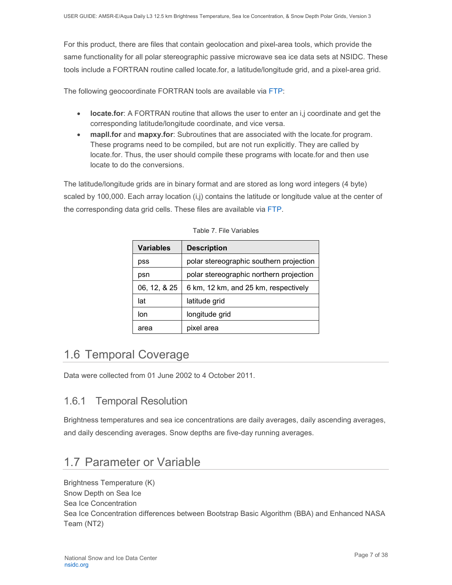For this product, there are files that contain geolocation and pixel-area tools, which provide the same functionality for all polar stereographic passive microwave sea ice data sets at NSIDC. These tools include a FORTRAN routine called locate.for, a latitude/longitude grid, and a pixel-area grid.

The following geocoordinate FORTRAN tools are available via [FTP:](ftp://sidads.colorado.edu/pub/DATASETS/brightness-temperatures/polar-stereo/tools/geo-coord/fortran/)

- **locate.for**: A FORTRAN routine that allows the user to enter an i,j coordinate and get the corresponding latitude/longitude coordinate, and vice versa.
- **mapli.for** and **mapxy.for**: Subroutines that are associated with the locate.for program. These programs need to be compiled, but are not run explicitly. They are called by locate.for. Thus, the user should compile these programs with locate.for and then use locate to do the conversions.

The latitude/longitude grids are in binary format and are stored as long word integers (4 byte) scaled by 100,000. Each array location (i,j) contains the latitude or longitude value at the center of the corresponding data grid cells. These files are available via [FTP.](ftp://sidads.colorado.edu/pub/DATASETS/brightness-temperatures/polar-stereo/tools/geo-coord/grid/)

| <b>Variables</b> | <b>Description</b>                      |
|------------------|-----------------------------------------|
| pss              | polar stereographic southern projection |
| psn              | polar stereographic northern projection |
| 06, 12, & 25     | 6 km, 12 km, and 25 km, respectively    |
| lat              | latitude grid                           |
| lon              | longitude grid                          |
| area             | pixel area                              |

Table 7. File Variables

## <span id="page-7-0"></span>1.6 Temporal Coverage

Data were collected from 01 June 2002 to 4 October 2011.

### <span id="page-7-1"></span>1.6.1 Temporal Resolution

Brightness temperatures and sea ice concentrations are daily averages, daily ascending averages, and daily descending averages. Snow depths are five-day running averages.

## <span id="page-7-2"></span>1.7 Parameter or Variable

Brightness Temperature (K) Snow Depth on Sea Ice Sea Ice Concentration Sea Ice Concentration differences between Bootstrap Basic Algorithm (BBA) and Enhanced NASA Team (NT2)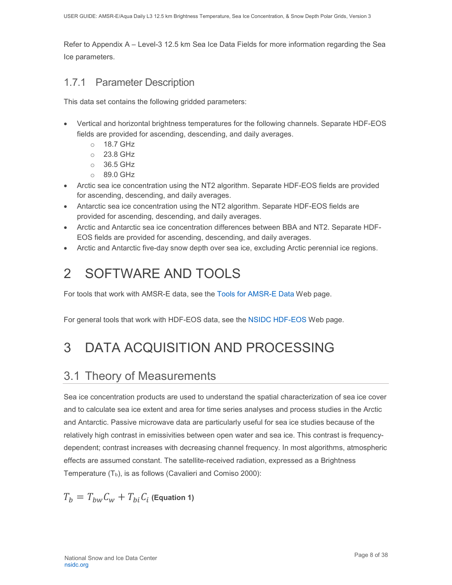Refer to Appendix A – Level-3 12.5 km Sea Ice Data Fields for more information regarding the Sea Ice parameters.

### <span id="page-8-0"></span>1.7.1 Parameter Description

This data set contains the following gridded parameters:

- Vertical and horizontal brightness temperatures for the following channels. Separate HDF-EOS fields are provided for ascending, descending, and daily averages.
	- o 18.7 GHz
	- o 23.8 GHz
	- o 36.5 GHz
	- o 89.0 GHz
- Arctic sea ice concentration using the NT2 algorithm. Separate HDF-EOS fields are provided for ascending, descending, and daily averages.
- Antarctic sea ice concentration using the NT2 algorithm. Separate HDF-EOS fields are provided for ascending, descending, and daily averages.
- Arctic and Antarctic sea ice concentration differences between BBA and NT2. Separate HDF-EOS fields are provided for ascending, descending, and daily averages.
- Arctic and Antarctic five-day snow depth over sea ice, excluding Arctic perennial ice regions.

# <span id="page-8-1"></span>2 SOFTWARE AND TOOLS

For tools that work with AMSR-E data, see the [Tools for AMSR-E Data](http://nsidc.org/data/amsre/) Web page.

For general tools that work with HDF-EOS data, see the [NSIDC HDF-EOS](https://nsidc.org/support/faq/what-hdf-eos) Web page.

# <span id="page-8-2"></span>3 DATA ACQUISITION AND PROCESSING

## <span id="page-8-3"></span>3.1 Theory of Measurements

Sea ice concentration products are used to understand the spatial characterization of sea ice cover and to calculate sea ice extent and area for time series analyses and process studies in the Arctic and Antarctic. Passive microwave data are particularly useful for sea ice studies because of the relatively high contrast in emissivities between open water and sea ice. This contrast is frequencydependent; contrast increases with decreasing channel frequency. In most algorithms, atmospheric effects are assumed constant. The satellite-received radiation, expressed as a Brightness Temperature  $(T_b)$ , is as follows (Cavalieri and Comiso 2000):

$$
T_b = T_{bw}C_w + T_{bi}C_i
$$
 (Equation 1)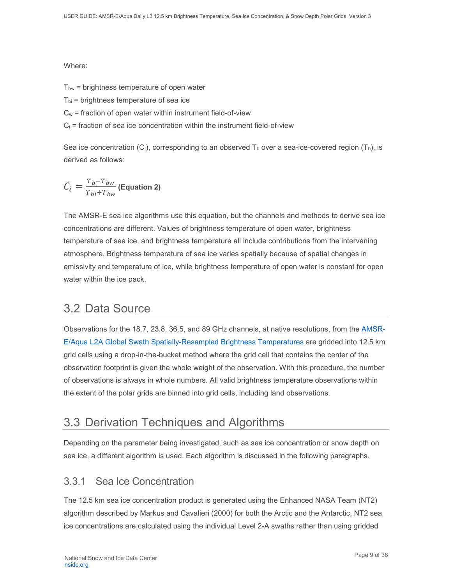#### Where:

 $T<sub>bw</sub>$  = brightness temperature of open water

 $T_{bi}$  = brightness temperature of sea ice

 $C_w$  = fraction of open water within instrument field-of-view

 $C_i$  = fraction of sea ice concentration within the instrument field-of-view

Sea ice concentration  $(C_1)$ , corresponding to an observed  $T_b$  over a sea-ice-covered region (T<sub>b</sub>), is derived as follows:

$$
\mathcal{C}_i = \frac{T_b - T_{bw}}{T_{bi} + T_{bw}} \text{(Equation 2)}
$$

The AMSR-E sea ice algorithms use this equation, but the channels and methods to derive sea ice concentrations are different. Values of brightness temperature of open water, brightness temperature of sea ice, and brightness temperature all include contributions from the intervening atmosphere. Brightness temperature of sea ice varies spatially because of spatial changes in emissivity and temperature of ice, while brightness temperature of open water is constant for open water within the ice pack.

### <span id="page-9-0"></span>3.2 Data Source

Observations for the 18.7, 23.8, 36.5, and 89 GHz channels, at native resolutions, from the [AMSR-](http://nsidc.org/data/ae_l2a.html)[E/Aqua L2A Global Swath Spatially-Resampled Brightness Temperatures](http://nsidc.org/data/ae_l2a.html) are gridded into 12.5 km grid cells using a drop-in-the-bucket method where the grid cell that contains the center of the observation footprint is given the whole weight of the observation. With this procedure, the number of observations is always in whole numbers. All valid brightness temperature observations within the extent of the polar grids are binned into grid cells, including land observations.

### <span id="page-9-1"></span>3.3 Derivation Techniques and Algorithms

Depending on the parameter being investigated, such as sea ice concentration or snow depth on sea ice, a different algorithm is used. Each algorithm is discussed in the following paragraphs.

### <span id="page-9-2"></span>3.3.1 Sea Ice Concentration

The 12.5 km sea ice concentration product is generated using the Enhanced NASA Team (NT2) algorithm described by Markus and Cavalieri (2000) for both the Arctic and the Antarctic. NT2 sea ice concentrations are calculated using the individual Level 2-A swaths rather than using gridded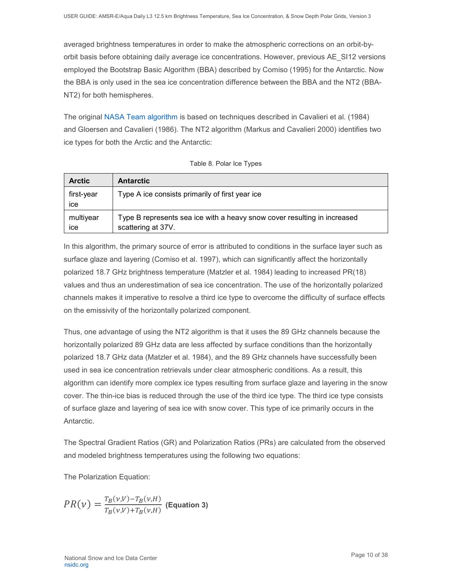averaged brightness temperatures in order to make the atmospheric corrections on an orbit-byorbit basis before obtaining daily average ice concentrations. However, previous AE\_SI12 versions employed the Bootstrap Basic Algorithm (BBA) described by Comiso (1995) for the Antarctic. Now the BBA is only used in the sea ice concentration difference between the BBA and the NT2 (BBA-NT2) for both hemispheres.

The original [NASA Team algorithm](https://nsidc.org/support/faq/nasa-team-vs-bootstrap-algorithm) is based on techniques described in Cavalieri et al. (1984) and Gloersen and Cavalieri (1986). The NT2 algorithm (Markus and Cavalieri 2000) identifies two ice types for both the Arctic and the Antarctic:

| <b>Arctic</b>     | <b>Antarctic</b>                                                                               |
|-------------------|------------------------------------------------------------------------------------------------|
| first-year<br>Ice | Type A ice consists primarily of first year ice                                                |
| multiyear<br>Ice  | Type B represents sea ice with a heavy snow cover resulting in increased<br>scattering at 37V. |

|  |  |  |  | Table 8. Polar Ice Types |
|--|--|--|--|--------------------------|
|--|--|--|--|--------------------------|

In this algorithm, the primary source of error is attributed to conditions in the surface layer such as surface glaze and layering (Comiso et al. 1997), which can significantly affect the horizontally polarized 18.7 GHz brightness temperature (Matzler et al. 1984) leading to increased PR(18) values and thus an underestimation of sea ice concentration. The use of the horizontally polarized channels makes it imperative to resolve a third ice type to overcome the difficulty of surface effects on the emissivity of the horizontally polarized component.

Thus, one advantage of using the NT2 algorithm is that it uses the 89 GHz channels because the horizontally polarized 89 GHz data are less affected by surface conditions than the horizontally polarized 18.7 GHz data (Matzler et al. 1984), and the 89 GHz channels have successfully been used in sea ice concentration retrievals under clear atmospheric conditions. As a result, this algorithm can identify more complex ice types resulting from surface glaze and layering in the snow cover. The thin-ice bias is reduced through the use of the third ice type. The third ice type consists of surface glaze and layering of sea ice with snow cover. This type of ice primarily occurs in the Antarctic.

The Spectral Gradient Ratios (GR) and Polarization Ratios (PRs) are calculated from the observed and modeled brightness temperatures using the following two equations:

The Polarization Equation:

$$
PR(\nu) = \frac{T_B(\nu, V) - T_B(\nu, H)}{T_B(\nu, V) + T_B(\nu, H)}
$$
 (Equation 3)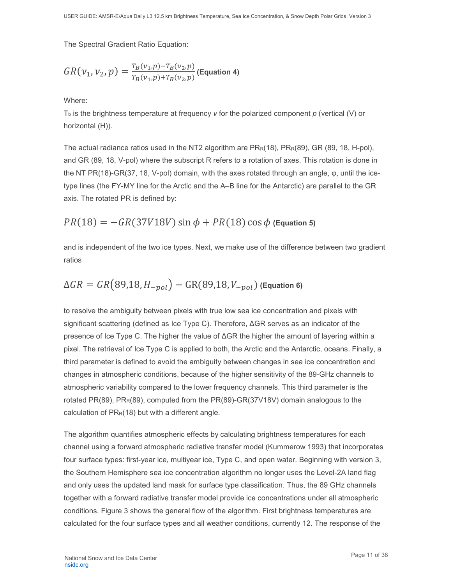The Spectral Gradient Ratio Equation:

$$
GR(\nu_1, \nu_2, p) = \frac{T_B(\nu_1, p) - T_B(\nu_2, p)}{T_B(\nu_1, p) + T_B(\nu_2, p)}
$$
 (Equation 4)

Where:

Tb is the brightness temperature at frequency *ν* for the polarized component *p* (vertical (V) or horizontal (H)).

The actual radiance ratios used in the NT2 algorithm are  $PR_R(18)$ ,  $PR_R(89)$ , GR (89, 18, H-pol), and GR (89, 18, V-pol) where the subscript R refers to a rotation of axes. This rotation is done in the NT PR(18)-GR(37, 18, V-pol) domain, with the axes rotated through an angle, φ, until the icetype lines (the FY-MY line for the Arctic and the A–B line for the Antarctic) are parallel to the GR axis. The rotated PR is defined by:

$$
PR(18) = -GR(37V18V) \sin \phi + PR(18) \cos \phi
$$
 (Equation 5)

and is independent of the two ice types. Next, we make use of the difference between two gradient ratios

$$
\Delta GR = GR(89,18, H_{-pol}) - GR(89,18, V_{-pol})
$$
 (Equation 6)

to resolve the ambiguity between pixels with true low sea ice concentration and pixels with significant scattering (defined as Ice Type C). Therefore, ΔGR serves as an indicator of the presence of Ice Type C. The higher the value of ΔGR the higher the amount of layering within a pixel. The retrieval of Ice Type C is applied to both, the Arctic and the Antarctic, oceans. Finally, a third parameter is defined to avoid the ambiguity between changes in sea ice concentration and changes in atmospheric conditions, because of the higher sensitivity of the 89-GHz channels to atmospheric variability compared to the lower frequency channels. This third parameter is the rotated PR(89), PR<sub>R</sub>(89), computed from the PR(89)-GR(37V18V) domain analogous to the calculation of  $PR_R(18)$  but with a different angle.

The algorithm quantifies atmospheric effects by calculating brightness temperatures for each channel using a forward atmospheric radiative transfer model (Kummerow 1993) that incorporates four surface types: first-year ice, multiyear ice, Type C, and open water. Beginning with version 3, the Southern Hemisphere sea ice concentration algorithm no longer uses the Level-2A land flag and only uses the updated land mask for surface type classification. Thus, the 89 GHz channels together with a forward radiative transfer model provide ice concentrations under all atmospheric conditions. Figure 3 shows the general flow of the algorithm. First brightness temperatures are calculated for the four surface types and all weather conditions, currently 12. The response of the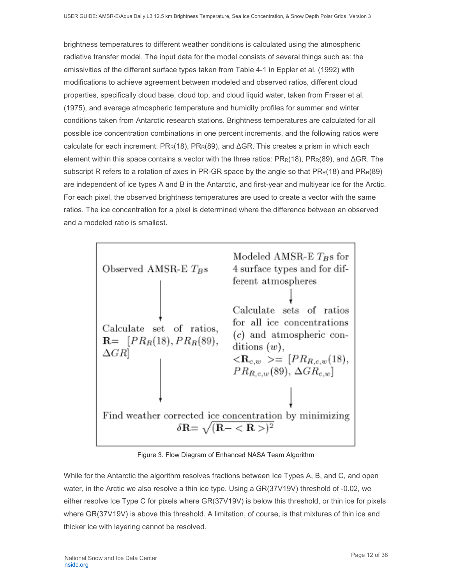brightness temperatures to different weather conditions is calculated using the atmospheric radiative transfer model. The input data for the model consists of several things such as: the emissivities of the different surface types taken from Table 4-1 in Eppler et al. (1992) with modifications to achieve agreement between modeled and observed ratios, different cloud properties, specifically cloud base, cloud top, and cloud liquid water, taken from Fraser et al. (1975), and average atmospheric temperature and humidity profiles for summer and winter conditions taken from Antarctic research stations. Brightness temperatures are calculated for all possible ice concentration combinations in one percent increments, and the following ratios were calculate for each increment:  $PR_R(18)$ ,  $PR_R(89)$ , and  $\Delta$ GR. This creates a prism in which each element within this space contains a vector with the three ratios: PRR(18), PRR(89), and ΔGR. The subscript R refers to a rotation of axes in PR-GR space by the angle so that  $PR<sub>R</sub>(18)$  and  $PR<sub>R</sub>(89)$ are independent of ice types A and B in the Antarctic, and first-year and multiyear ice for the Arctic. For each pixel, the observed brightness temperatures are used to create a vector with the same ratios. The ice concentration for a pixel is determined where the difference between an observed and a modeled ratio is smallest.



Figure 3. Flow Diagram of Enhanced NASA Team Algorithm

While for the Antarctic the algorithm resolves fractions between Ice Types A, B, and C, and open water, in the Arctic we also resolve a thin ice type. Using a GR(37V19V) threshold of -0.02, we either resolve Ice Type C for pixels where GR(37V19V) is below this threshold, or thin ice for pixels where GR(37V19V) is above this threshold. A limitation, of course, is that mixtures of thin ice and thicker ice with layering cannot be resolved.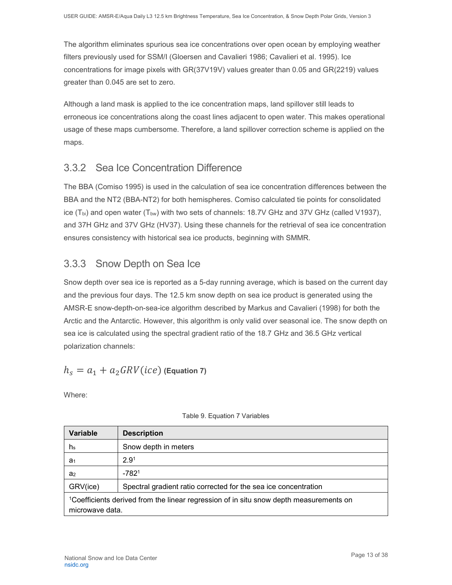The algorithm eliminates spurious sea ice concentrations over open ocean by employing weather filters previously used for SSM/I (Gloersen and Cavalieri 1986; Cavalieri et al. 1995). Ice concentrations for image pixels with GR(37V19V) values greater than 0.05 and GR(2219) values greater than 0.045 are set to zero.

Although a land mask is applied to the ice concentration maps, land spillover still leads to erroneous ice concentrations along the coast lines adjacent to open water. This makes operational usage of these maps cumbersome. Therefore, a land spillover correction scheme is applied on the maps.

### <span id="page-13-0"></span>3.3.2 Sea Ice Concentration Difference

The BBA (Comiso 1995) is used in the calculation of sea ice concentration differences between the BBA and the NT2 (BBA-NT2) for both hemispheres. Comiso calculated tie points for consolidated ice  $(T_{bi})$  and open water  $(T_{bw})$  with two sets of channels: 18.7V GHz and 37V GHz (called V1937), and 37H GHz and 37V GHz (HV37). Using these channels for the retrieval of sea ice concentration ensures consistency with historical sea ice products, beginning with SMMR.

### <span id="page-13-1"></span>3.3.3 Snow Depth on Sea Ice

Snow depth over sea ice is reported as a 5-day running average, which is based on the current day and the previous four days. The 12.5 km snow depth on sea ice product is generated using the AMSR-E snow-depth-on-sea-ice algorithm described by Markus and Cavalieri (1998) for both the Arctic and the Antarctic. However, this algorithm is only valid over seasonal ice. The snow depth on sea ice is calculated using the spectral gradient ratio of the 18.7 GHz and 36.5 GHz vertical polarization channels:

$$
h_s = a_1 + a_2 \, GRV(ice)
$$
 (Equation 7)

Where:

| <b>Variable</b>                                                                                                       | <b>Description</b>                                              |  |  |  |
|-----------------------------------------------------------------------------------------------------------------------|-----------------------------------------------------------------|--|--|--|
| hs                                                                                                                    | Snow depth in meters                                            |  |  |  |
| a <sub>1</sub>                                                                                                        | 2.9 <sup>1</sup>                                                |  |  |  |
| a <sub>2</sub>                                                                                                        | $-7821$                                                         |  |  |  |
| GRV(ice)                                                                                                              | Spectral gradient ratio corrected for the sea ice concentration |  |  |  |
| <sup>1</sup> Coefficients derived from the linear regression of in situ snow depth measurements on<br>microwave data. |                                                                 |  |  |  |

#### Table 9. Equation 7 Variables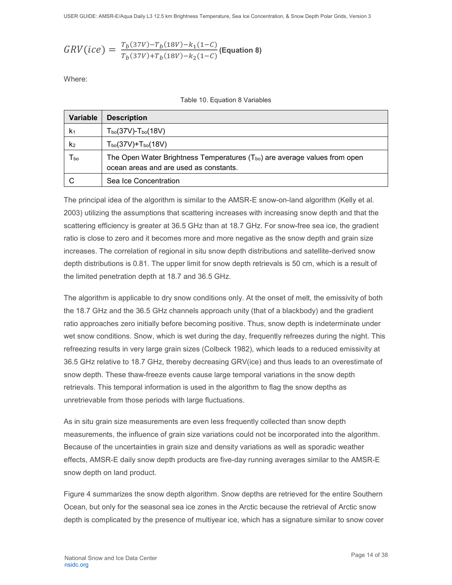$$
GRV(ice) = \frac{T_b(37V) - T_b(18V) - k_1(1-C)}{T_b(37V) + T_b(18V) - k_2(1-C)}
$$
(Equation 8)

Where:

| <b>Variable</b>            | <b>Description</b>                                                                                                                |
|----------------------------|-----------------------------------------------------------------------------------------------------------------------------------|
| K <sub>1</sub>             | $T_{bo}$ (37V)- $T_{bo}$ (18V)                                                                                                    |
| k <sub>2</sub>             | $T_{\rm bo}$ (37V)+ $T_{\rm bo}$ (18V)                                                                                            |
| $\mathsf{T}_{\mathsf{bo}}$ | The Open Water Brightness Temperatures ( $T_{\text{bo}}$ ) are average values from open<br>ocean areas and are used as constants. |
|                            | Sea Ice Concentration                                                                                                             |

The principal idea of the algorithm is similar to the AMSR-E snow-on-land algorithm (Kelly et al. 2003) utilizing the assumptions that scattering increases with increasing snow depth and that the scattering efficiency is greater at 36.5 GHz than at 18.7 GHz. For snow-free sea ice, the gradient ratio is close to zero and it becomes more and more negative as the snow depth and grain size increases. The correlation of regional in situ snow depth distributions and satellite-derived snow depth distributions is 0.81. The upper limit for snow depth retrievals is 50 cm, which is a result of the limited penetration depth at 18.7 and 36.5 GHz.

The algorithm is applicable to dry snow conditions only. At the onset of melt, the emissivity of both the 18.7 GHz and the 36.5 GHz channels approach unity (that of a blackbody) and the gradient ratio approaches zero initially before becoming positive. Thus, snow depth is indeterminate under wet snow conditions. Snow, which is wet during the day, frequently refreezes during the night. This refreezing results in very large grain sizes (Colbeck 1982), which leads to a reduced emissivity at 36.5 GHz relative to 18.7 GHz, thereby decreasing GRV(ice) and thus leads to an overestimate of snow depth. These thaw-freeze events cause large temporal variations in the snow depth retrievals. This temporal information is used in the algorithm to flag the snow depths as unretrievable from those periods with large fluctuations.

As in situ grain size measurements are even less frequently collected than snow depth measurements, the influence of grain size variations could not be incorporated into the algorithm. Because of the uncertainties in grain size and density variations as well as sporadic weather effects, AMSR-E daily snow depth products are five-day running averages similar to the AMSR-E snow depth on land product.

Figure 4 summarizes the snow depth algorithm. Snow depths are retrieved for the entire Southern Ocean, but only for the seasonal sea ice zones in the Arctic because the retrieval of Arctic snow depth is complicated by the presence of multiyear ice, which has a signature similar to snow cover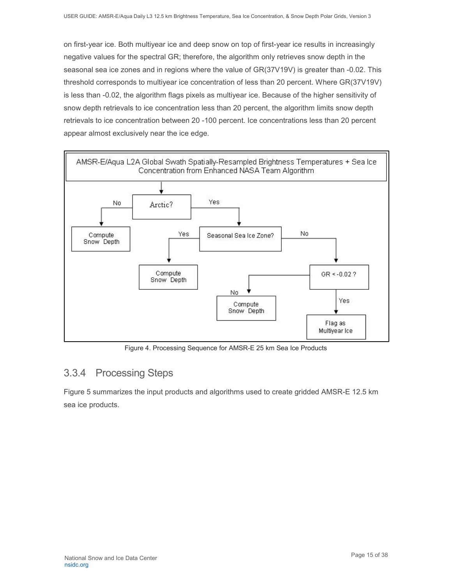on first-year ice. Both multiyear ice and deep snow on top of first-year ice results in increasingly negative values for the spectral GR; therefore, the algorithm only retrieves snow depth in the seasonal sea ice zones and in regions where the value of GR(37V19V) is greater than -0.02. This threshold corresponds to multiyear ice concentration of less than 20 percent. Where GR(37V19V) is less than -0.02, the algorithm flags pixels as multiyear ice. Because of the higher sensitivity of snow depth retrievals to ice concentration less than 20 percent, the algorithm limits snow depth retrievals to ice concentration between 20 -100 percent. Ice concentrations less than 20 percent appear almost exclusively near the ice edge.



Figure 4. Processing Sequence for AMSR-E 25 km Sea Ice Products

### <span id="page-15-0"></span>3.3.4 Processing Steps

Figure 5 summarizes the input products and algorithms used to create gridded AMSR-E 12.5 km sea ice products.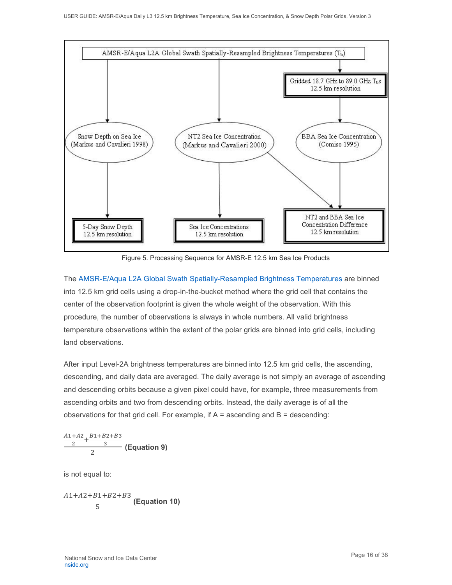

Figure 5. Processing Sequence for AMSR-E 12.5 km Sea Ice Products

The [AMSR-E/Aqua L2A Global Swath Spatially-Resampled Brightness Temperatures](http://nsidc.org/data/ae_l2a.html) are binned into 12.5 km grid cells using a drop-in-the-bucket method where the grid cell that contains the center of the observation footprint is given the whole weight of the observation. With this procedure, the number of observations is always in whole numbers. All valid brightness temperature observations within the extent of the polar grids are binned into grid cells, including land observations.

After input Level-2A brightness temperatures are binned into 12.5 km grid cells, the ascending, descending, and daily data are averaged. The daily average is not simply an average of ascending and descending orbits because a given pixel could have, for example, three measurements from ascending orbits and two from descending orbits. Instead, the daily average is of all the observations for that grid cell. For example, if  $A =$  ascending and  $B =$  descending:

$$
\frac{\frac{A1+A2}{2}+\frac{B1+B2+B3}{3}}{2}
$$
 (Equation 9)

is not equal to:

$$
\frac{A1+A2+B1+B2+B3}{5}
$$
 (Equation 10)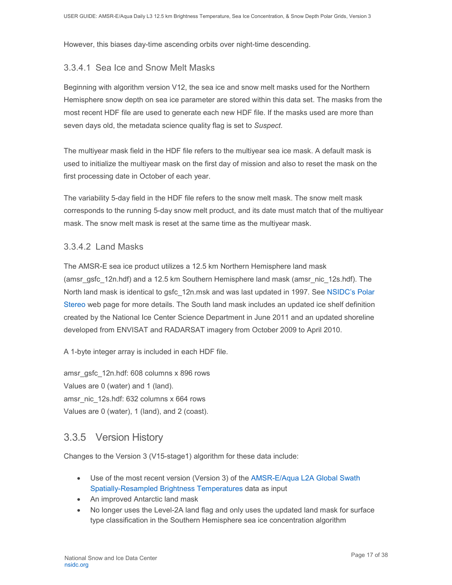However, this biases day-time ascending orbits over night-time descending.

### 3.3.4.1 Sea Ice and Snow Melt Masks

Beginning with algorithm version V12, the sea ice and snow melt masks used for the Northern Hemisphere snow depth on sea ice parameter are stored within this data set. The masks from the most recent HDF file are used to generate each new HDF file. If the masks used are more than seven days old, the metadata science quality flag is set to *Suspect*.

The multiyear mask field in the HDF file refers to the multiyear sea ice mask. A default mask is used to initialize the multiyear mask on the first day of mission and also to reset the mask on the first processing date in October of each year.

The variability 5-day field in the HDF file refers to the snow melt mask. The snow melt mask corresponds to the running 5-day snow melt product, and its date must match that of the multiyear mask. The snow melt mask is reset at the same time as the multiyear mask.

#### 3.3.4.2 Land Masks

The AMSR-E sea ice product utilizes a 12.5 km Northern Hemisphere land mask (amsr\_gsfc\_12n.hdf) and a 12.5 km Southern Hemisphere land mask (amsr\_nic\_12s.hdf). The North land mask is identical to gsfc\_12n.msk and was last updated in 1997. See [NSIDC's Polar](https://nsidc.org/data/polar-stereo)  [Stereo](https://nsidc.org/data/polar-stereo) web page for more details. The South land mask includes an updated ice shelf definition created by the National Ice Center Science Department in June 2011 and an updated shoreline developed from ENVISAT and RADARSAT imagery from October 2009 to April 2010.

A 1-byte integer array is included in each HDF file.

amsr\_gsfc\_12n.hdf: 608 columns x 896 rows Values are 0 (water) and 1 (land). amsr\_nic\_12s.hdf: 632 columns x 664 rows Values are 0 (water), 1 (land), and 2 (coast).

### <span id="page-17-0"></span>3.3.5 Version History

Changes to the Version 3 (V15-stage1) algorithm for these data include:

- Use of the most recent version (Version 3) of the [AMSR-E/Aqua L2A Global Swath](http://nsidc.org/data/ae_l2a/versions/3)  [Spatially-Resampled Brightness Temperatures](http://nsidc.org/data/ae_l2a/versions/3) data as input
- An improved Antarctic land mask
- No longer uses the Level-2A land flag and only uses the updated land mask for surface type classification in the Southern Hemisphere sea ice concentration algorithm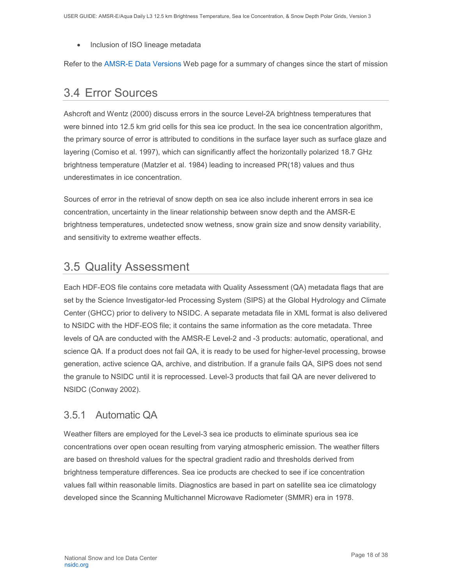• Inclusion of ISO lineage metadata

Refer to the [AMSR-E Data Versions](http://nsidc.org/data/amsre/data_versions/index.html) Web page for a summary of changes since the start of mission

## <span id="page-18-0"></span>3.4 Error Sources

Ashcroft and Wentz (2000) discuss errors in the source Level-2A brightness temperatures that were binned into 12.5 km grid cells for this sea ice product. In the sea ice concentration algorithm, the primary source of error is attributed to conditions in the surface layer such as surface glaze and layering (Comiso et al. 1997), which can significantly affect the horizontally polarized 18.7 GHz brightness temperature (Matzler et al. 1984) leading to increased PR(18) values and thus underestimates in ice concentration.

Sources of error in the retrieval of snow depth on sea ice also include inherent errors in sea ice concentration, uncertainty in the linear relationship between snow depth and the AMSR-E brightness temperatures, undetected snow wetness, snow grain size and snow density variability, and sensitivity to extreme weather effects.

## <span id="page-18-1"></span>3.5 Quality Assessment

Each HDF-EOS file contains core metadata with Quality Assessment (QA) metadata flags that are set by the Science Investigator-led Processing System (SIPS) at the Global Hydrology and Climate Center (GHCC) prior to delivery to NSIDC. A separate metadata file in XML format is also delivered to NSIDC with the HDF-EOS file; it contains the same information as the core metadata. Three levels of QA are conducted with the AMSR-E Level-2 and -3 products: automatic, operational, and science QA. If a product does not fail QA, it is ready to be used for higher-level processing, browse generation, active science QA, archive, and distribution. If a granule fails QA, SIPS does not send the granule to NSIDC until it is reprocessed. Level-3 products that fail QA are never delivered to NSIDC (Conway 2002).

### <span id="page-18-2"></span>3.5.1 Automatic QA

Weather filters are employed for the Level-3 sea ice products to eliminate spurious sea ice concentrations over open ocean resulting from varying atmospheric emission. The weather filters are based on threshold values for the spectral gradient radio and thresholds derived from brightness temperature differences. Sea ice products are checked to see if ice concentration values fall within reasonable limits. Diagnostics are based in part on satellite sea ice climatology developed since the Scanning Multichannel Microwave Radiometer (SMMR) era in 1978.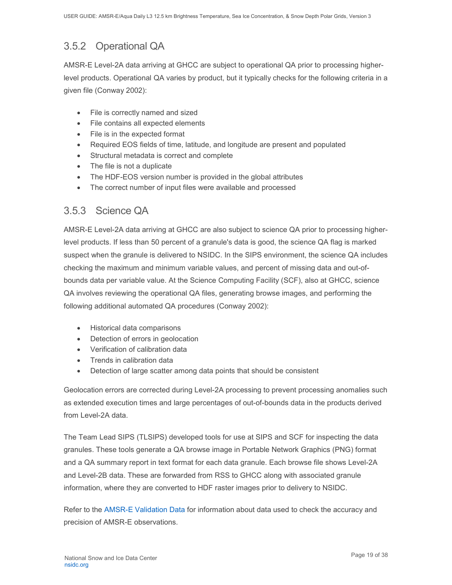## <span id="page-19-0"></span>3.5.2 Operational QA

AMSR-E Level-2A data arriving at GHCC are subject to operational QA prior to processing higherlevel products. Operational QA varies by product, but it typically checks for the following criteria in a given file (Conway 2002):

- File is correctly named and sized
- File contains all expected elements
- File is in the expected format
- Required EOS fields of time, latitude, and longitude are present and populated
- Structural metadata is correct and complete
- The file is not a duplicate
- The HDF-EOS version number is provided in the global attributes
- The correct number of input files were available and processed

### <span id="page-19-1"></span>3.5.3 Science QA

AMSR-E Level-2A data arriving at GHCC are also subject to science QA prior to processing higherlevel products. If less than 50 percent of a granule's data is good, the science QA flag is marked suspect when the granule is delivered to NSIDC. In the SIPS environment, the science QA includes checking the maximum and minimum variable values, and percent of missing data and out-ofbounds data per variable value. At the Science Computing Facility (SCF), also at GHCC, science QA involves reviewing the operational QA files, generating browse images, and performing the following additional automated QA procedures (Conway 2002):

- Historical data comparisons
- Detection of errors in geolocation
- Verification of calibration data
- Trends in calibration data
- Detection of large scatter among data points that should be consistent

Geolocation errors are corrected during Level-2A processing to prevent processing anomalies such as extended execution times and large percentages of out-of-bounds data in the products derived from Level-2A data.

The Team Lead SIPS (TLSIPS) developed tools for use at SIPS and SCF for inspecting the data granules. These tools generate a QA browse image in Portable Network Graphics (PNG) format and a QA summary report in text format for each data granule. Each browse file shows Level-2A and Level-2B data. These are forwarded from RSS to GHCC along with associated granule information, where they are converted to HDF raster images prior to delivery to NSIDC.

Refer to the [AMSR-E Validation Data](http://nsidc.org/data/amsre) for information about data used to check the accuracy and precision of AMSR-E observations.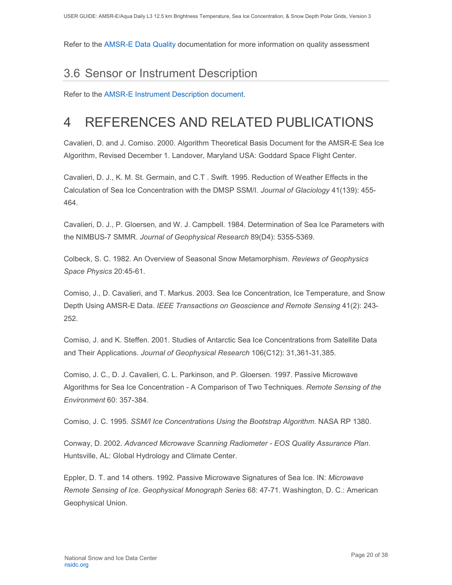Refer to the [AMSR-E Data Quality](https://nsidc.org/sites/nsidc.org/files/technical-references/AMSRE-DataQuality-DataUncertainty.pdf) documentation for more information on quality assessment

# <span id="page-20-0"></span>3.6 Sensor or Instrument Description

Refer to the [AMSR-E Instrument Description document.](https://nsidc.org/sites/nsidc.org/files/technical-references/AMSR-E%20Instrument%20Description.pdf)

# <span id="page-20-1"></span>4 REFERENCES AND RELATED PUBLICATIONS

Cavalieri, D. and J. Comiso. 2000. Algorithm Theoretical Basis Document for the AMSR-E Sea Ice Algorithm, Revised December 1. Landover, Maryland USA: Goddard Space Flight Center.

Cavalieri, D. J., K. M. St. Germain, and C.T . Swift. 1995. Reduction of Weather Effects in the Calculation of Sea Ice Concentration with the DMSP SSM/I. *Journal of Glaciology* 41(139): 455- 464.

Cavalieri, D. J., P. Gloersen, and W. J. Campbell. 1984. Determination of Sea Ice Parameters with the NIMBUS-7 SMMR. *Journal of Geophysical Research* 89(D4): 5355-5369.

Colbeck, S. C. 1982. An Overview of Seasonal Snow Metamorphism. *Reviews of Geophysics Space Physics* 20:45-61.

Comiso, J., D. Cavalieri, and T. Markus. 2003. Sea Ice Concentration, Ice Temperature, and Snow Depth Using AMSR-E Data. *IEEE Transactions on Geoscience and Remote Sensing* 41(2): 243- 252.

Comiso, J. and K. Steffen. 2001. Studies of Antarctic Sea Ice Concentrations from Satellite Data and Their Applications. *Journal of Geophysical Research* 106(C12): 31,361-31,385.

Comiso, J. C., D. J. Cavalieri, C. L. Parkinson, and P. Gloersen. 1997. Passive Microwave Algorithms for Sea Ice Concentration - A Comparison of Two Techniques. *Remote Sensing of the Environment* 60: 357-384.

Comiso, J. C. 1995. *SSM/I Ice Concentrations Using the Bootstrap Algorithm*. NASA RP 1380.

Conway, D. 2002. *Advanced Microwave Scanning Radiometer - EOS Quality Assurance Plan*. Huntsville, AL: Global Hydrology and Climate Center.

Eppler, D. T. and 14 others. 1992. Passive Microwave Signatures of Sea Ice. IN: *Microwave Remote Sensing of Ice*. *Geophysical Monograph Series* 68: 47-71. Washington, D. C.: American Geophysical Union.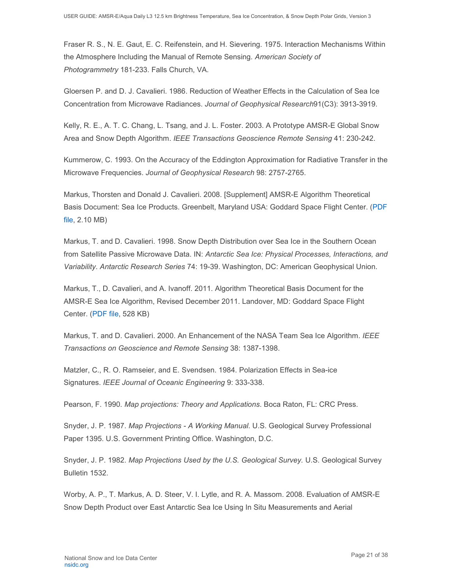Fraser R. S., N. E. Gaut, E. C. Reifenstein, and H. Sievering. 1975. Interaction Mechanisms Within the Atmosphere Including the Manual of Remote Sensing. *American Society of Photogrammetry* 181-233. Falls Church, VA.

Gloersen P. and D. J. Cavalieri. 1986. Reduction of Weather Effects in the Calculation of Sea Ice Concentration from Microwave Radiances. *Journal of Geophysical Research*91(C3): 3913-3919.

Kelly, R. E., A. T. C. Chang, L. Tsang, and J. L. Foster. 2003. A Prototype AMSR-E Global Snow Area and Snow Depth Algorithm. *IEEE Transactions Geoscience Remote Sensing* 41: 230-242.

Kummerow, C. 1993. On the Accuracy of the Eddington Approximation for Radiative Transfer in the Microwave Frequencies. *Journal of Geophysical Research* 98: 2757-2765.

Markus, Thorsten and Donald J. Cavalieri. 2008. [Supplement] AMSR-E Algorithm Theoretical Basis Document: Sea Ice Products. Greenbelt, Maryland USA: Goddard Space Flight Center. [\(PDF](http://nsidc.org/sites/nsidc.org/files/files/amsr_atbd_supp07_seaice.pdf)  [file,](http://nsidc.org/sites/nsidc.org/files/files/amsr_atbd_supp07_seaice.pdf) 2.10 MB)

Markus, T. and D. Cavalieri. 1998. Snow Depth Distribution over Sea Ice in the Southern Ocean from Satellite Passive Microwave Data. IN: *Antarctic Sea Ice: Physical Processes, Interactions, and Variability*. *Antarctic Research Series* 74: 19-39. Washington, DC: American Geophysical Union.

Markus, T., D. Cavalieri, and A. Ivanoff. 2011. Algorithm Theoretical Basis Document for the AMSR-E Sea Ice Algorithm, Revised December 2011. Landover, MD: Goddard Space Flight Center. [\(PDF file,](http://nsidc.org/sites/nsidc.org/files/files/amsr_atbd_seaice_dec2011.pdf) 528 KB)

Markus, T. and D. Cavalieri. 2000. An Enhancement of the NASA Team Sea Ice Algorithm. *IEEE Transactions on Geoscience and Remote Sensing* 38: 1387-1398.

Matzler, C., R. O. Ramseier, and E. Svendsen. 1984. Polarization Effects in Sea-ice Signatures. *IEEE Journal of Oceanic Engineering* 9: 333-338.

Pearson, F. 1990. *Map projections: Theory and Applications*. Boca Raton, FL: CRC Press.

Snyder, J. P. 1987. *Map Projections - A Working Manual*. U.S. Geological Survey Professional Paper 1395. U.S. Government Printing Office. Washington, D.C.

Snyder, J. P. 1982. *Map Projections Used by the U.S. Geological Survey.* U.S. Geological Survey Bulletin 1532.

Worby, A. P., T. Markus, A. D. Steer, V. I. Lytle, and R. A. Massom. 2008. Evaluation of AMSR-E Snow Depth Product over East Antarctic Sea Ice Using In Situ Measurements and Aerial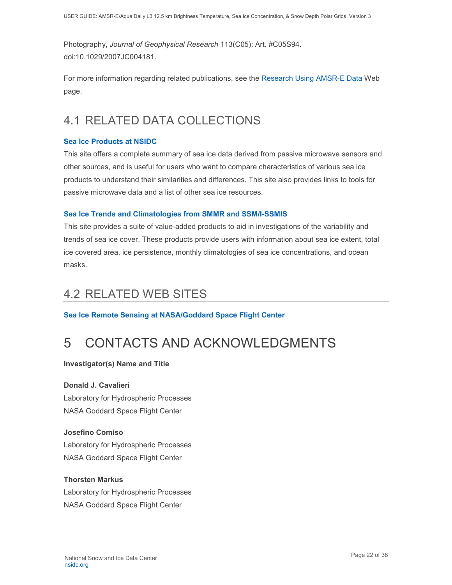Photography, *Journal of Geophysical Research* 113(C05): Art. #C05S94. doi:10.1029/2007JC004181.

For more information regarding related publications, see the [Research Using AMSR-E Data](https://nsidc.org/data/amsr-e/research.html) Web page.

# <span id="page-22-0"></span>4.1 RELATED DATA COLLECTIONS

#### **[Sea Ice Products at NSIDC](https://nsidc.org/data/seaice)**

This site offers a complete summary of sea ice data derived from passive microwave sensors and other sources, and is useful for users who want to compare characteristics of various sea ice products to understand their similarities and differences. This site also provides links to tools for passive microwave data and a list of other sea ice resources.

#### **[Sea Ice Trends and Climatologies from SMMR and SSM/I-SSMIS](http://nsidc.org/data/nsidc-0192.html)**

This site provides a suite of value-added products to aid in investigations of the variability and trends of sea ice cover. These products provide users with information about sea ice extent, total ice covered area, ice persistence, monthly climatologies of sea ice concentrations, and ocean masks.

## <span id="page-22-1"></span>4.2 RELATED WEB SITES

**[Sea Ice Remote Sensing at NASA/Goddard Space Flight Center](http://polynya.gsfc.nasa.gov/index.html)**

# <span id="page-22-2"></span>5 CONTACTS AND ACKNOWLEDGMENTS

**Investigator(s) Name and Title**

#### **Donald J. Cavalieri**

Laboratory for Hydrospheric Processes NASA Goddard Space Flight Center

#### **Josefino Comiso**

Laboratory for Hydrospheric Processes NASA Goddard Space Flight Center

#### **Thorsten Markus**

Laboratory for Hydrospheric Processes NASA Goddard Space Flight Center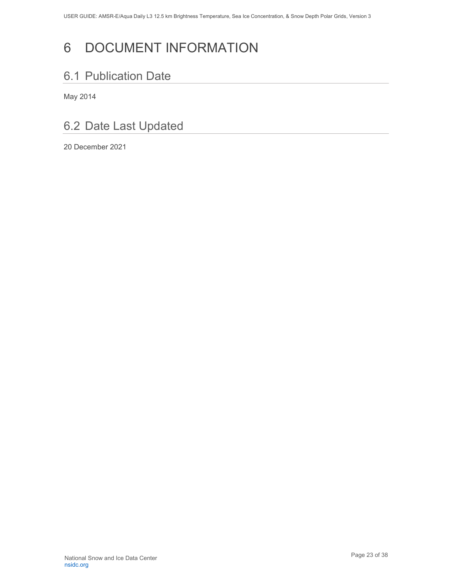# <span id="page-23-0"></span>6 DOCUMENT INFORMATION

## <span id="page-23-1"></span>6.1 Publication Date

May 2014

# <span id="page-23-2"></span>6.2 Date Last Updated

20 December 2021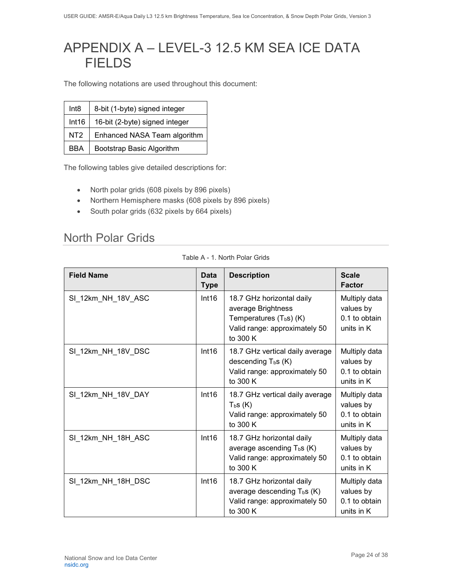# <span id="page-24-0"></span>APPENDIX A – LEVEL-3 12.5 KM SEA ICE DATA FIELDS

The following notations are used throughout this document:

| Int8            | 8-bit (1-byte) signed integer  |
|-----------------|--------------------------------|
| Int16           | 16-bit (2-byte) signed integer |
| NT <sub>2</sub> | Enhanced NASA Team algorithm   |
| <b>BBA</b>      | Bootstrap Basic Algorithm      |

The following tables give detailed descriptions for:

- North polar grids (608 pixels by 896 pixels)
- Northern Hemisphere masks (608 pixels by 896 pixels)
- South polar grids (632 pixels by 664 pixels)

### <span id="page-24-1"></span>North Polar Grids

|  | Table A - 1. North Polar Grids |  |  |  |  |
|--|--------------------------------|--|--|--|--|
|--|--------------------------------|--|--|--|--|

| <b>Field Name</b>  | Data<br><b>Type</b> | <b>Description</b>                                                                                                         | <b>Scale</b><br><b>Factor</b>                             |
|--------------------|---------------------|----------------------------------------------------------------------------------------------------------------------------|-----------------------------------------------------------|
| SI_12km_NH_18V_ASC | Int16               | 18.7 GHz horizontal daily<br>average Brightness<br>Temperatures $(T_b s)$ (K)<br>Valid range: approximately 50<br>to 300 K | Multiply data<br>values by<br>0.1 to obtain<br>units in K |
| SI_12km_NH_18V_DSC | Int16               | 18.7 GHz vertical daily average<br>descending $T_b s$ (K)<br>Valid range: approximately 50<br>to 300 K                     | Multiply data<br>values by<br>0.1 to obtain<br>units in K |
| SI_12km_NH_18V_DAY | Int16               | 18.7 GHz vertical daily average<br>$T_{b}$ s (K)<br>Valid range: approximately 50<br>to 300 K                              | Multiply data<br>values by<br>0.1 to obtain<br>units in K |
| SI_12km_NH_18H_ASC | Int16               | 18.7 GHz horizontal daily<br>average ascending $T_b s$ (K)<br>Valid range: approximately 50<br>to 300 K                    | Multiply data<br>values by<br>0.1 to obtain<br>units in K |
| SI_12km_NH_18H_DSC | Int16               | 18.7 GHz horizontal daily<br>average descending $T_b s$ (K)<br>Valid range: approximately 50<br>to 300 K                   | Multiply data<br>values by<br>0.1 to obtain<br>units in K |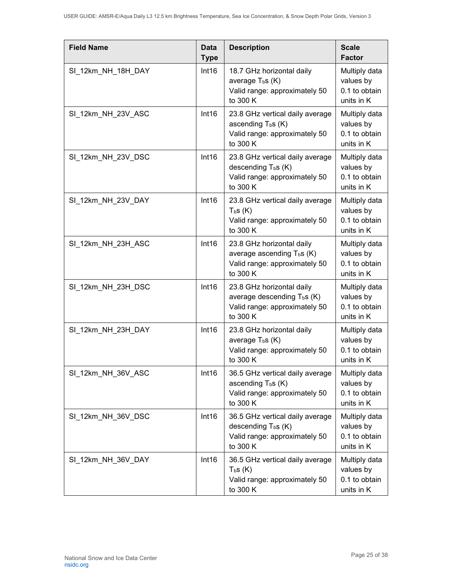| <b>Field Name</b>  | <b>Data</b><br><b>Type</b> | <b>Description</b>                                                                                             | <b>Scale</b><br><b>Factor</b>                             |
|--------------------|----------------------------|----------------------------------------------------------------------------------------------------------------|-----------------------------------------------------------|
| SI_12km_NH_18H_DAY | Int16                      | 18.7 GHz horizontal daily<br>average $T_{b}$ s (K)<br>Valid range: approximately 50<br>to 300 K                | Multiply data<br>values by<br>0.1 to obtain<br>units in K |
| SI 12km NH 23V ASC | Int16                      | 23.8 GHz vertical daily average<br>ascending $T_b s(K)$<br>Valid range: approximately 50<br>to 300 K           | Multiply data<br>values by<br>0.1 to obtain<br>units in K |
| SI_12km_NH_23V_DSC | Int16                      | 23.8 GHz vertical daily average<br>descending $T_b s$ (K)<br>Valid range: approximately 50<br>to 300 K         | Multiply data<br>values by<br>0.1 to obtain<br>units in K |
| SI_12km_NH_23V_DAY | Int16                      | 23.8 GHz vertical daily average<br>$T_{b}S(K)$<br>Valid range: approximately 50<br>to 300 K                    | Multiply data<br>values by<br>0.1 to obtain<br>units in K |
| SI_12km_NH_23H_ASC | Int16                      | 23.8 GHz horizontal daily<br>average ascending $T_b s$ (K)<br>Valid range: approximately 50<br>to 300 K        | Multiply data<br>values by<br>0.1 to obtain<br>units in K |
| SI 12km NH 23H DSC | Int16                      | 23.8 GHz horizontal daily<br>average descending $T_b s$ (K)<br>Valid range: approximately 50<br>to 300 K       | Multiply data<br>values by<br>0.1 to obtain<br>units in K |
| SI 12km NH 23H DAY | Int16                      | 23.8 GHz horizontal daily<br>average $T_{b}$ s (K)<br>Valid range: approximately 50<br>to 300 K                | Multiply data<br>values by<br>0.1 to obtain<br>units in K |
| SI_12km_NH_36V_ASC | Int16                      | 36.5 GHz vertical daily average<br>ascending T <sub>b</sub> s (K)<br>Valid range: approximately 50<br>to 300 K | Multiply data<br>values by<br>0.1 to obtain<br>units in K |
| SI 12km NH 36V DSC | Int16                      | 36.5 GHz vertical daily average<br>descending $T_b s$ (K)<br>Valid range: approximately 50<br>to 300 K         | Multiply data<br>values by<br>0.1 to obtain<br>units in K |
| SI_12km_NH_36V_DAY | Int16                      | 36.5 GHz vertical daily average<br>$T_{b}S(K)$<br>Valid range: approximately 50<br>to 300 K                    | Multiply data<br>values by<br>0.1 to obtain<br>units in K |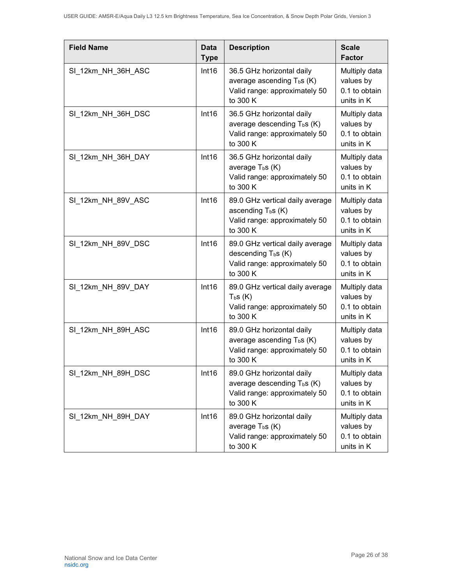| <b>Field Name</b>  | <b>Data</b><br><b>Type</b> | <b>Description</b>                                                                                                | <b>Scale</b><br><b>Factor</b>                             |
|--------------------|----------------------------|-------------------------------------------------------------------------------------------------------------------|-----------------------------------------------------------|
| SI 12km NH 36H ASC | Int16                      | 36.5 GHz horizontal daily<br>average ascending T <sub>b</sub> s (K)<br>Valid range: approximately 50<br>to 300 K  | Multiply data<br>values by<br>0.1 to obtain<br>units in K |
| SI 12km NH 36H DSC | Int16                      | 36.5 GHz horizontal daily<br>average descending T <sub>b</sub> s (K)<br>Valid range: approximately 50<br>to 300 K | Multiply data<br>values by<br>0.1 to obtain<br>units in K |
| SI 12km NH 36H DAY | Int16                      | 36.5 GHz horizontal daily<br>average $T_{b}$ s (K)<br>Valid range: approximately 50<br>to 300 K                   | Multiply data<br>values by<br>0.1 to obtain<br>units in K |
| SI 12km NH 89V ASC | Int16                      | 89.0 GHz vertical daily average<br>ascending T <sub>b</sub> s (K)<br>Valid range: approximately 50<br>to 300 K    | Multiply data<br>values by<br>0.1 to obtain<br>units in K |
| SI 12km NH 89V DSC | Int16                      | 89.0 GHz vertical daily average<br>descending $T_b s$ (K)<br>Valid range: approximately 50<br>to 300 K            | Multiply data<br>values by<br>0.1 to obtain<br>units in K |
| SI 12km NH 89V DAY | Int16                      | 89.0 GHz vertical daily average<br>T <sub>b</sub> S(K)<br>Valid range: approximately 50<br>to 300 K               | Multiply data<br>values by<br>0.1 to obtain<br>units in K |
| SI 12km NH 89H ASC | Int16                      | 89.0 GHz horizontal daily<br>average ascending T <sub>b</sub> s (K)<br>Valid range: approximately 50<br>to 300 K  | Multiply data<br>values by<br>0.1 to obtain<br>units in K |
| SI 12km NH 89H DSC | Int16                      | 89.0 GHz horizontal daily<br>average descending T <sub>b</sub> s (K)<br>Valid range: approximately 50<br>to 300 K | Multiply data<br>values by<br>0.1 to obtain<br>units in K |
| SI_12km_NH_89H_DAY | Int16                      | 89.0 GHz horizontal daily<br>average $T_b s$ (K)<br>Valid range: approximately 50<br>to 300 K                     | Multiply data<br>values by<br>0.1 to obtain<br>units in K |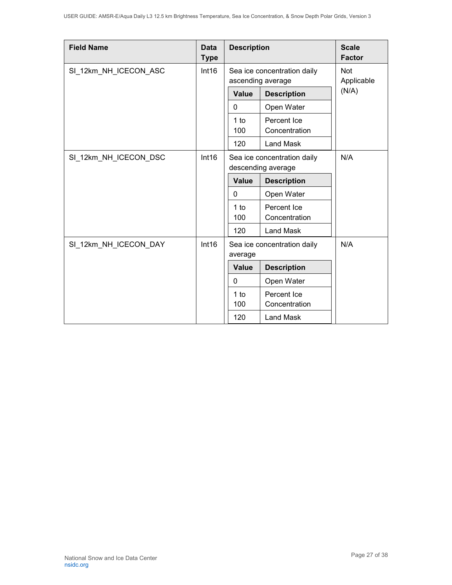| <b>Field Name</b>              | <b>Data</b><br><b>Type</b>                                | <b>Description</b>                                |                             | <b>Scale</b><br><b>Factor</b> |
|--------------------------------|-----------------------------------------------------------|---------------------------------------------------|-----------------------------|-------------------------------|
| SI 12km NH ICECON ASC          | Int16<br>Sea ice concentration daily<br>ascending average |                                                   | Not<br>Applicable           |                               |
|                                |                                                           |                                                   |                             | (N/A)                         |
|                                |                                                           | Value                                             | <b>Description</b>          |                               |
|                                |                                                           | 0                                                 | Open Water                  |                               |
|                                |                                                           | 1 to                                              | Percent Ice                 |                               |
|                                |                                                           | 100                                               | Concentration               |                               |
|                                |                                                           | 120                                               | Land Mask                   |                               |
| SI 12km NH ICECON DSC<br>Int16 |                                                           | Sea ice concentration daily<br>descending average |                             | N/A                           |
|                                |                                                           | <b>Value</b>                                      | <b>Description</b>          |                               |
|                                |                                                           | $\mathbf{0}$                                      | Open Water                  |                               |
|                                |                                                           | 1 to                                              | Percent Ice                 |                               |
|                                |                                                           | 100                                               | Concentration               |                               |
|                                |                                                           | 120                                               | <b>Land Mask</b>            |                               |
| SI_12km_NH_ICECON_DAY          | Int16                                                     |                                                   | Sea ice concentration daily | N/A                           |
|                                |                                                           | average                                           |                             |                               |
|                                |                                                           | <b>Value</b>                                      | <b>Description</b>          |                               |
|                                |                                                           | $\mathbf{0}$                                      | Open Water                  |                               |
|                                |                                                           | 1 to                                              | Percent Ice                 |                               |
|                                |                                                           | 100                                               | Concentration               |                               |
|                                |                                                           | 120                                               | Land Mask                   |                               |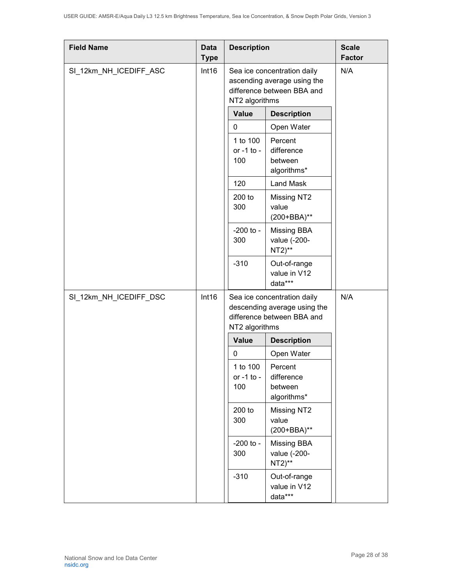| <b>Field Name</b>               | <b>Data</b><br><b>Type</b> | <b>Description</b>                                                                                                  |                                                 | <b>Scale</b><br><b>Factor</b> |
|---------------------------------|----------------------------|---------------------------------------------------------------------------------------------------------------------|-------------------------------------------------|-------------------------------|
| SI_12km_NH_ICEDIFF_ASC          |                            | Int16<br>Sea ice concentration daily<br>ascending average using the<br>difference between BBA and<br>NT2 algorithms |                                                 | N/A                           |
|                                 |                            | Value                                                                                                               | <b>Description</b>                              |                               |
|                                 |                            | 0                                                                                                                   | Open Water                                      |                               |
|                                 |                            | 1 to 100<br>or -1 to -<br>100                                                                                       | Percent<br>difference<br>between<br>algorithms* |                               |
|                                 |                            | 120                                                                                                                 | <b>Land Mask</b>                                |                               |
|                                 |                            | 200 to<br>300                                                                                                       | Missing NT2<br>value<br>(200+BBA)**             |                               |
|                                 |                            | $-200$ to $-$<br>300                                                                                                | <b>Missing BBA</b><br>value (-200-<br>$NT2)$ ** |                               |
|                                 |                            | $-310$                                                                                                              | Out-of-range<br>value in V12<br>data***         |                               |
| SI_12km_NH_ICEDIFF_DSC<br>Int16 |                            | Sea ice concentration daily<br>descending average using the<br>difference between BBA and<br>NT2 algorithms         |                                                 | N/A                           |
|                                 |                            | <b>Value</b>                                                                                                        | <b>Description</b>                              |                               |
|                                 |                            | 0                                                                                                                   | Open Water                                      |                               |
|                                 |                            | 1 to 100<br>or -1 to -<br>100                                                                                       | Percent<br>difference<br>between<br>algorithms* |                               |
|                                 |                            | 200 to<br>300                                                                                                       | Missing NT2<br>value<br>(200+BBA)**             |                               |
|                                 |                            | $-200$ to $-$<br>300                                                                                                | <b>Missing BBA</b><br>value (-200-<br>$NT2)$ ** |                               |
|                                 |                            | $-310$                                                                                                              | Out-of-range<br>value in V12<br>data***         |                               |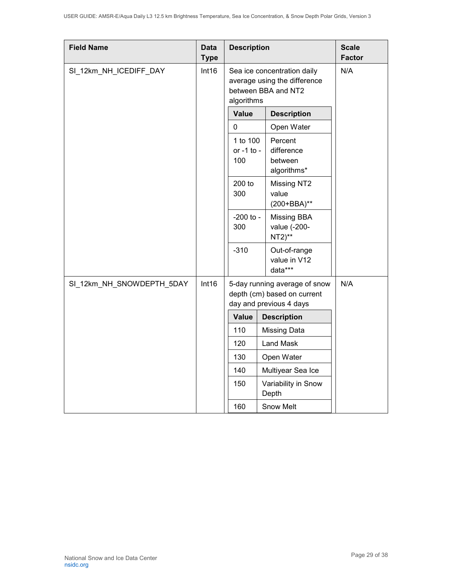| <b>Field Name</b>                  | <b>Data</b><br><b>Type</b> | <b>Description</b>            |                                                                                         | <b>Scale</b><br><b>Factor</b> |
|------------------------------------|----------------------------|-------------------------------|-----------------------------------------------------------------------------------------|-------------------------------|
| SI_12km_NH_ICEDIFF_DAY             | Int16                      | algorithms                    | Sea ice concentration daily<br>average using the difference<br>between BBA and NT2      | N/A                           |
|                                    |                            | <b>Value</b>                  | <b>Description</b>                                                                      |                               |
|                                    |                            | 0                             | Open Water                                                                              |                               |
|                                    |                            | 1 to 100<br>or -1 to -<br>100 | Percent<br>difference<br>between<br>algorithms*                                         |                               |
|                                    |                            | 200 to<br>300                 | Missing NT2<br>value<br>(200+BBA)**                                                     |                               |
|                                    |                            | $-200$ to $-$<br>300          | Missing BBA<br>value (-200-<br>NT2)**                                                   |                               |
|                                    |                            | $-310$                        | Out-of-range<br>value in V12<br>data***                                                 |                               |
| Int16<br>SI_12km_NH_SNOWDEPTH_5DAY |                            |                               | 5-day running average of snow<br>depth (cm) based on current<br>day and previous 4 days | N/A                           |
|                                    |                            | <b>Value</b>                  | <b>Description</b>                                                                      |                               |
|                                    |                            | 110                           | <b>Missing Data</b>                                                                     |                               |
|                                    |                            | 120                           | <b>Land Mask</b>                                                                        |                               |
|                                    |                            | 130                           | Open Water                                                                              |                               |
|                                    |                            | 140                           | Multiyear Sea Ice                                                                       |                               |
|                                    |                            | 150                           | Variability in Snow<br>Depth                                                            |                               |
|                                    |                            | 160                           | Snow Melt                                                                               |                               |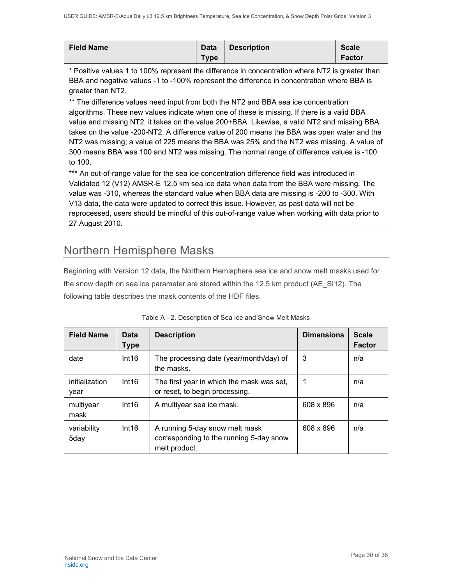| <b>Field Name</b> | <b>Data</b> | <b>Description</b> | <b>Scale</b>  |
|-------------------|-------------|--------------------|---------------|
|                   | <b>Type</b> |                    | <b>Factor</b> |

\* Positive values 1 to 100% represent the difference in concentration where NT2 is greater than BBA and negative values -1 to -100% represent the difference in concentration where BBA is greater than NT2.

\*\* The difference values need input from both the NT2 and BBA sea ice concentration algorithms. These new values indicate when one of these is missing. If there is a valid BBA value and missing NT2, it takes on the value 200+BBA. Likewise, a valid NT2 and missing BBA takes on the value -200-NT2. A difference value of 200 means the BBA was open water and the NT2 was missing; a value of 225 means the BBA was 25% and the NT2 was missing. A value of 300 means BBA was 100 and NT2 was missing. The normal range of difference values is -100 to 100.

\*\*\* An out-of-range value for the sea ice concentration difference field was introduced in Validated 12 (V12) AMSR-E 12.5 km sea ice data when data from the BBA were missing. The value was -310, whereas the standard value when BBA data are missing is -200 to -300. With V13 data, the data were updated to correct this issue. However, as past data will not be reprocessed, users should be mindful of this out-of-range value when working with data prior to 27 August 2010.

# <span id="page-30-0"></span>Northern Hemisphere Masks

Beginning with Version 12 data, the Northern Hemisphere sea ice and snow melt masks used for the snow depth on sea ice parameter are stored within the 12.5 km product (AE\_SI12). The following table describes the mask contents of the HDF files.

| <b>Field Name</b>      | Data<br><b>Type</b> | <b>Description</b>                                                                         | <b>Dimensions</b> | <b>Scale</b><br><b>Factor</b> |
|------------------------|---------------------|--------------------------------------------------------------------------------------------|-------------------|-------------------------------|
| date                   | Int16               | The processing date (year/month/day) of<br>the masks.                                      | 3                 | n/a                           |
| initialization<br>year | Int16               | The first year in which the mask was set,<br>or reset, to begin processing.                | 1                 | n/a                           |
| multiyear<br>mask      | Int16               | A multiyear sea ice mask.                                                                  | 608 x 896         | n/a                           |
| variability<br>5day    | Int16               | A running 5-day snow melt mask<br>corresponding to the running 5-day snow<br>melt product. | 608 x 896         | n/a                           |

| Table A - 2. Description of Sea Ice and Snow Melt Masks |
|---------------------------------------------------------|
|---------------------------------------------------------|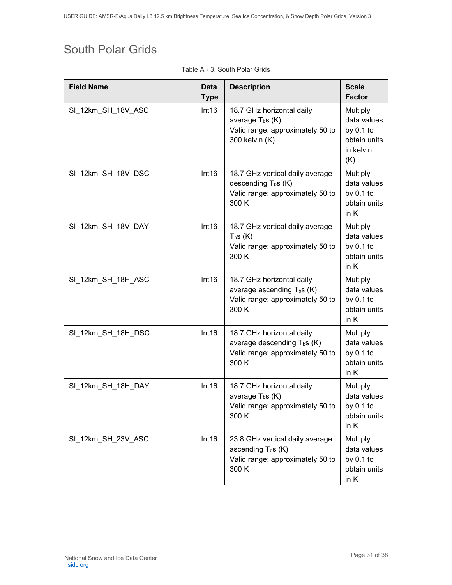# <span id="page-31-0"></span>South Polar Grids

| <b>Field Name</b>  | <b>Data</b><br><b>Type</b> | <b>Description</b>                                                                                                | <b>Scale</b><br><b>Factor</b>                                                     |
|--------------------|----------------------------|-------------------------------------------------------------------------------------------------------------------|-----------------------------------------------------------------------------------|
| SI_12km_SH_18V_ASC | Int16                      | 18.7 GHz horizontal daily<br>average $T_b$ s (K)<br>Valid range: approximately 50 to<br>300 kelvin (K)            | <b>Multiply</b><br>data values<br>by $0.1$ to<br>obtain units<br>in kelvin<br>(K) |
| SI 12km_SH_18V_DSC | Int16                      | 18.7 GHz vertical daily average<br>descending $T_b s$ (K)<br>Valid range: approximately 50 to<br>300 K            | Multiply<br>data values<br>by $0.1$ to<br>obtain units<br>in K                    |
| SI 12km_SH_18V_DAY | Int16                      | 18.7 GHz vertical daily average<br>T <sub>b</sub> S(K)<br>Valid range: approximately 50 to<br>300 K               | Multiply<br>data values<br>by $0.1$ to<br>obtain units<br>in K                    |
| SI 12km_SH_18H_ASC | Int16                      | 18.7 GHz horizontal daily<br>average ascending $T_b$ s (K)<br>Valid range: approximately 50 to<br>300 K           | Multiply<br>data values<br>by $0.1$ to<br>obtain units<br>in K                    |
| SI 12km_SH_18H_DSC | Int16                      | 18.7 GHz horizontal daily<br>average descending T <sub>b</sub> s (K)<br>Valid range: approximately 50 to<br>300 K | Multiply<br>data values<br>by $0.1$ to<br>obtain units<br>in K                    |
| SI 12km_SH_18H_DAY | Int16                      | 18.7 GHz horizontal daily<br>average $T_b s$ (K)<br>Valid range: approximately 50 to<br>300 K                     | Multiply<br>data values<br>by $0.1$ to<br>obtain units<br>in K                    |
| SI_12km_SH_23V_ASC | Int16                      | 23.8 GHz vertical daily average<br>ascending T <sub>b</sub> s (K)<br>Valid range: approximately 50 to<br>300 K    | Multiply<br>data values<br>by $0.1$ to<br>obtain units<br>in K                    |

Table A - 3. South Polar Grids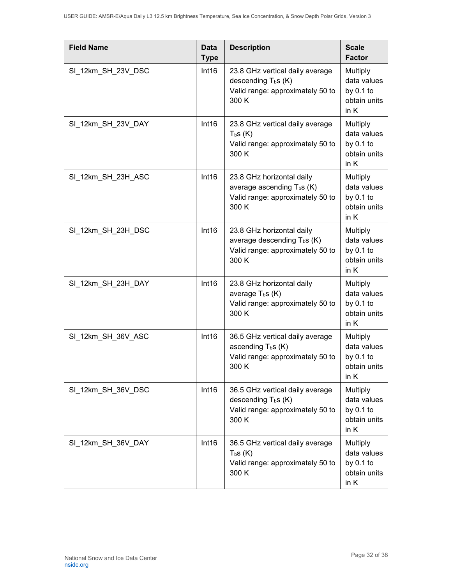| <b>Field Name</b>  | Data<br><b>Type</b> | <b>Description</b>                                                                                       | <b>Scale</b><br><b>Factor</b>                                    |
|--------------------|---------------------|----------------------------------------------------------------------------------------------------------|------------------------------------------------------------------|
| SI_12km_SH_23V_DSC | Int16               | 23.8 GHz vertical daily average<br>descending $T_b s$ (K)<br>Valid range: approximately 50 to<br>300 K   | Multiply<br>data values<br>by 0.1 to<br>obtain units<br>in K     |
| SI_12km_SH_23V_DAY | Int16               | 23.8 GHz vertical daily average<br>$T_{b}S(K)$<br>Valid range: approximately 50 to<br>300 K              | Multiply<br>data values<br>by $0.1$ to<br>obtain units<br>in K   |
| SI 12km_SH_23H_ASC | Int16               | 23.8 GHz horizontal daily<br>average ascending $T_b$ s (K)<br>Valid range: approximately 50 to<br>300 K  | Multiply<br>data values<br>by 0.1 to<br>obtain units<br>in K     |
| SI_12km_SH_23H_DSC | Int16               | 23.8 GHz horizontal daily<br>average descending $T_b s$ (K)<br>Valid range: approximately 50 to<br>300 K | Multiply<br>data values<br>by $0.1$ to<br>obtain units<br>in K   |
| SI_12km_SH_23H_DAY | Int16               | 23.8 GHz horizontal daily<br>average $T_b s(K)$<br>Valid range: approximately 50 to<br>300 K             | Multiply<br>data values<br>by $0.1$ to<br>obtain units<br>in K   |
| SI_12km_SH_36V_ASC | Int16               | 36.5 GHz vertical daily average<br>ascending $T_b s$ (K)<br>Valid range: approximately 50 to<br>300 K    | Multiply<br>data values<br>by $0.1$ to<br>obtain units<br>in $K$ |
| SI_12km_SH_36V_DSC | Int16               | 36.5 GHz vertical daily average<br>descending $T_b s$ (K)<br>Valid range: approximately 50 to<br>300 K   | Multiply<br>data values<br>by $0.1$ to<br>obtain units<br>in K   |
| SI_12km_SH_36V_DAY | Int16               | 36.5 GHz vertical daily average<br>$T_{b}S(K)$<br>Valid range: approximately 50 to<br>300 K              | Multiply<br>data values<br>by $0.1$ to<br>obtain units<br>in K   |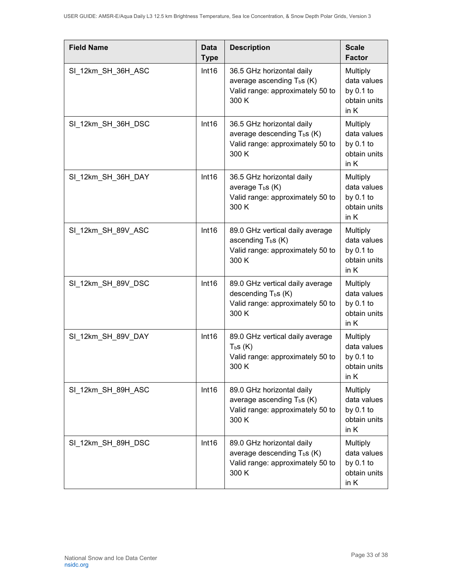| <b>Field Name</b>  | Data<br><b>Type</b> | <b>Description</b>                                                                                                | <b>Scale</b><br><b>Factor</b>                                    |
|--------------------|---------------------|-------------------------------------------------------------------------------------------------------------------|------------------------------------------------------------------|
| SI_12km_SH_36H_ASC | Int16               | 36.5 GHz horizontal daily<br>average ascending $T_b s$ (K)<br>Valid range: approximately 50 to<br>300 K           | Multiply<br>data values<br>by 0.1 to<br>obtain units<br>in K     |
| SI_12km_SH_36H_DSC | Int16               | 36.5 GHz horizontal daily<br>average descending T <sub>b</sub> s (K)<br>Valid range: approximately 50 to<br>300 K | Multiply<br>data values<br>by $0.1$ to<br>obtain units<br>in K   |
| SI 12km_SH_36H_DAY | Int16               | 36.5 GHz horizontal daily<br>average $T_b s(K)$<br>Valid range: approximately 50 to<br>300 K                      | Multiply<br>data values<br>by $0.1$ to<br>obtain units<br>in K   |
| SI_12km_SH_89V_ASC | Int16               | 89.0 GHz vertical daily average<br>ascending $T_b s$ (K)<br>Valid range: approximately 50 to<br>300 K             | Multiply<br>data values<br>by $0.1$ to<br>obtain units<br>in K   |
| SI 12km_SH_89V_DSC | Int16               | 89.0 GHz vertical daily average<br>descending T <sub>b</sub> s (K)<br>Valid range: approximately 50 to<br>300 K   | Multiply<br>data values<br>by 0.1 to<br>obtain units<br>in K     |
| SI_12km_SH_89V_DAY | Int16               | 89.0 GHz vertical daily average<br>T <sub>b</sub> S(K)<br>Valid range: approximately 50 to<br>300 K               | Multiply<br>data values<br>by $0.1$ to<br>obtain units<br>in $K$ |
| SI_12km_SH_89H_ASC | Int16               | 89.0 GHz horizontal daily<br>average ascending $T_b$ s (K)<br>Valid range: approximately 50 to<br>300 K           | Multiply<br>data values<br>by $0.1$ to<br>obtain units<br>in K   |
| SI_12km_SH_89H_DSC | Int16               | 89.0 GHz horizontal daily<br>average descending T <sub>b</sub> s (K)<br>Valid range: approximately 50 to<br>300 K | Multiply<br>data values<br>by $0.1$ to<br>obtain units<br>in K   |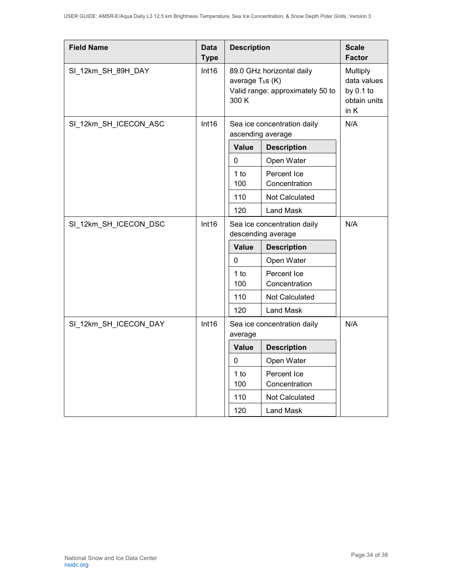| <b>Field Name</b>     | <b>Data</b><br><b>Type</b> | <b>Description</b>                                                                            |                                                  | <b>Scale</b><br><b>Factor</b>                                  |
|-----------------------|----------------------------|-----------------------------------------------------------------------------------------------|--------------------------------------------------|----------------------------------------------------------------|
| SI_12km_SH_89H_DAY    | Int16                      | 89.0 GHz horizontal daily<br>average $T_b$ s (K)<br>Valid range: approximately 50 to<br>300 K |                                                  | Multiply<br>data values<br>by $0.1$ to<br>obtain units<br>in K |
| SI_12km_SH_ICECON_ASC | Int16                      |                                                                                               | Sea ice concentration daily<br>ascending average | N/A                                                            |
|                       |                            | <b>Value</b>                                                                                  | <b>Description</b>                               |                                                                |
|                       |                            | 0                                                                                             | Open Water                                       |                                                                |
|                       |                            | 1 to<br>100                                                                                   | Percent Ice<br>Concentration                     |                                                                |
|                       |                            | 110                                                                                           | Not Calculated                                   |                                                                |
|                       |                            | 120                                                                                           | <b>Land Mask</b>                                 |                                                                |
| SI_12km_SH_ICECON_DSC | Int16                      | Sea ice concentration daily<br>descending average                                             |                                                  | N/A                                                            |
|                       |                            | <b>Value</b>                                                                                  | <b>Description</b>                               |                                                                |
|                       |                            | 0                                                                                             | Open Water                                       |                                                                |
|                       |                            | $1$ to<br>100                                                                                 | Percent Ice<br>Concentration                     |                                                                |
|                       |                            | 110                                                                                           | <b>Not Calculated</b>                            |                                                                |
|                       |                            | 120                                                                                           | <b>Land Mask</b>                                 |                                                                |
| SI_12km_SH_ICECON_DAY | Int16                      | average                                                                                       | Sea ice concentration daily                      |                                                                |
|                       |                            | <b>Value</b>                                                                                  | <b>Description</b>                               |                                                                |
|                       |                            | 0                                                                                             | Open Water                                       |                                                                |
|                       |                            | $1$ to<br>100                                                                                 | Percent Ice<br>Concentration                     |                                                                |
|                       |                            | 110                                                                                           | Not Calculated                                   |                                                                |
|                       |                            | 120                                                                                           | <b>Land Mask</b>                                 |                                                                |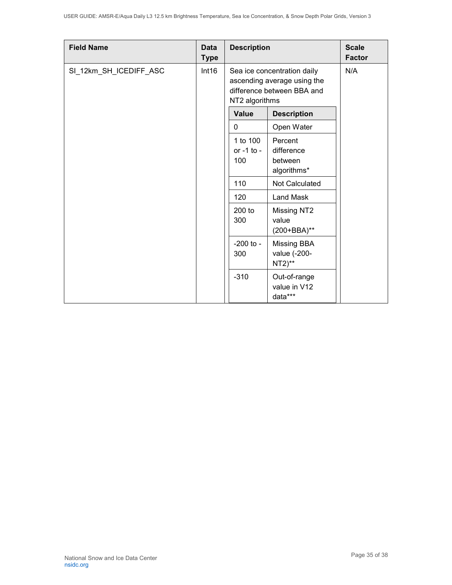| <b>Field Name</b>      | Data<br><b>Type</b> | <b>Description</b>            |                                                 | <b>Scale</b><br><b>Factor</b>                                                            |  |     |
|------------------------|---------------------|-------------------------------|-------------------------------------------------|------------------------------------------------------------------------------------------|--|-----|
| SI_12km_SH_ICEDIFF_ASC | Int16               | NT2 algorithms                |                                                 | Sea ice concentration daily<br>ascending average using the<br>difference between BBA and |  | N/A |
|                        |                     | <b>Value</b>                  | <b>Description</b>                              |                                                                                          |  |     |
|                        |                     | $\mathbf{0}$                  | Open Water                                      |                                                                                          |  |     |
|                        |                     | 1 to 100<br>or -1 to -<br>100 | Percent<br>difference<br>between<br>algorithms* |                                                                                          |  |     |
|                        |                     | 110                           | Not Calculated                                  |                                                                                          |  |     |
|                        |                     | 120                           | <b>Land Mask</b>                                |                                                                                          |  |     |
|                        |                     | 200 to<br>300                 | Missing NT2<br>value<br>(200+BBA)**             |                                                                                          |  |     |
|                        |                     | $-200$ to $-$<br>300          | Missing BBA<br>value (-200-<br>$NT2)$ **        |                                                                                          |  |     |
|                        |                     | $-310$                        | Out-of-range<br>value in V12<br>data***         |                                                                                          |  |     |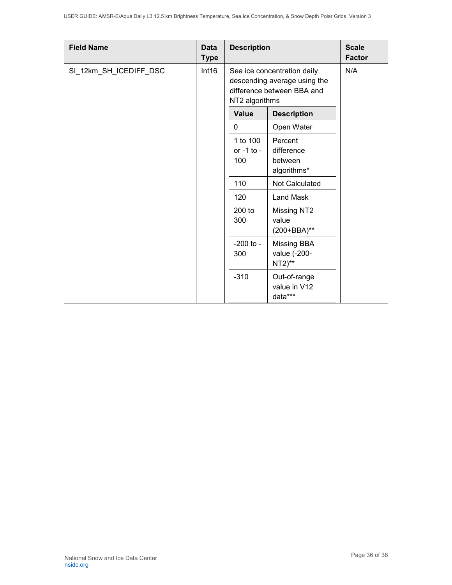| <b>Field Name</b>      | Data<br><b>Type</b> | <b>Description</b>            |                                                 | <b>Scale</b><br><b>Factor</b>                                                                               |  |     |
|------------------------|---------------------|-------------------------------|-------------------------------------------------|-------------------------------------------------------------------------------------------------------------|--|-----|
| SI_12km_SH_ICEDIFF_DSC | Int16               |                               |                                                 | Sea ice concentration daily<br>descending average using the<br>difference between BBA and<br>NT2 algorithms |  | N/A |
|                        |                     | <b>Value</b>                  | <b>Description</b>                              |                                                                                                             |  |     |
|                        |                     | $\mathbf{0}$                  | Open Water                                      |                                                                                                             |  |     |
|                        |                     | 1 to 100<br>or -1 to -<br>100 | Percent<br>difference<br>between<br>algorithms* |                                                                                                             |  |     |
|                        |                     | 110                           | Not Calculated                                  |                                                                                                             |  |     |
|                        |                     | 120                           | <b>Land Mask</b>                                |                                                                                                             |  |     |
|                        |                     | 200 to<br>300                 | Missing NT2<br>value<br>(200+BBA)**             |                                                                                                             |  |     |
|                        |                     | $-200$ to $-$<br>300          | Missing BBA<br>value (-200-<br>$NT2)$ **        |                                                                                                             |  |     |
|                        |                     | $-310$                        | Out-of-range<br>value in V12<br>data***         |                                                                                                             |  |     |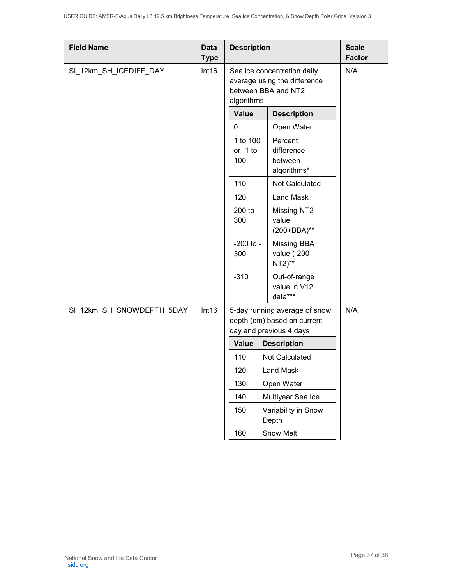| <b>Field Name</b>         | <b>Data</b><br><b>Type</b> | <b>Description</b>            |                                                                                         | <b>Scale</b><br><b>Factor</b> |
|---------------------------|----------------------------|-------------------------------|-----------------------------------------------------------------------------------------|-------------------------------|
| SI_12km_SH_ICEDIFF_DAY    | Int16<br>algorithms        |                               | Sea ice concentration daily<br>average using the difference<br>between BBA and NT2      | N/A                           |
|                           |                            | <b>Value</b>                  | <b>Description</b>                                                                      |                               |
|                           |                            | 0                             | Open Water                                                                              |                               |
|                           |                            | 1 to 100<br>or -1 to -<br>100 | Percent<br>difference<br>between<br>algorithms*                                         |                               |
|                           |                            | 110                           | Not Calculated                                                                          |                               |
|                           |                            | 120                           | <b>Land Mask</b>                                                                        |                               |
|                           |                            | 200 to<br>300                 | Missing NT2<br>value<br>(200+BBA)**                                                     |                               |
|                           |                            | $-200$ to $-$<br>300          | <b>Missing BBA</b><br>value (-200-<br>$NT2)$ **                                         |                               |
|                           |                            | $-310$                        | Out-of-range<br>value in V12<br>data***                                                 |                               |
| SI_12km_SH_SNOWDEPTH_5DAY | Int16                      |                               | 5-day running average of snow<br>depth (cm) based on current<br>day and previous 4 days | N/A                           |
|                           |                            | <b>Value</b>                  | <b>Description</b>                                                                      |                               |
|                           |                            | 110                           | Not Calculated                                                                          |                               |
|                           |                            | 120                           | Land Mask                                                                               |                               |
|                           |                            | 130                           | Open Water                                                                              |                               |
|                           |                            | 140                           | Multiyear Sea Ice                                                                       |                               |
|                           |                            | 150                           | Variability in Snow<br>Depth                                                            |                               |
|                           |                            | 160                           | Snow Melt                                                                               |                               |